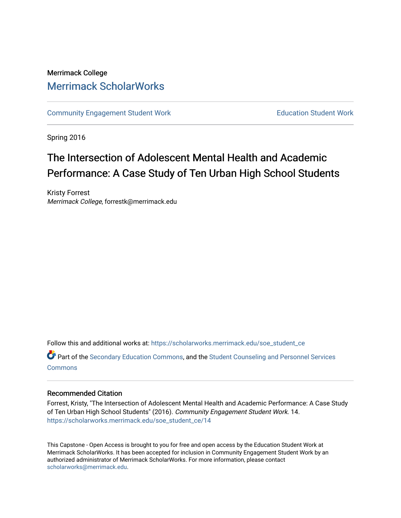# Merrimack College [Merrimack ScholarWorks](https://scholarworks.merrimack.edu/)

[Community Engagement Student Work](https://scholarworks.merrimack.edu/soe_student_ce) **Education Student Work** Education Student Work

Spring 2016

# The Intersection of Adolescent Mental Health and Academic Performance: A Case Study of Ten Urban High School Students

Kristy Forrest Merrimack College, forrestk@merrimack.edu

Follow this and additional works at: [https://scholarworks.merrimack.edu/soe\\_student\\_ce](https://scholarworks.merrimack.edu/soe_student_ce?utm_source=scholarworks.merrimack.edu%2Fsoe_student_ce%2F14&utm_medium=PDF&utm_campaign=PDFCoverPages) 

Part of the [Secondary Education Commons,](http://network.bepress.com/hgg/discipline/1382?utm_source=scholarworks.merrimack.edu%2Fsoe_student_ce%2F14&utm_medium=PDF&utm_campaign=PDFCoverPages) and the [Student Counseling and Personnel Services](http://network.bepress.com/hgg/discipline/802?utm_source=scholarworks.merrimack.edu%2Fsoe_student_ce%2F14&utm_medium=PDF&utm_campaign=PDFCoverPages) **[Commons](http://network.bepress.com/hgg/discipline/802?utm_source=scholarworks.merrimack.edu%2Fsoe_student_ce%2F14&utm_medium=PDF&utm_campaign=PDFCoverPages)** 

# Recommended Citation

Forrest, Kristy, "The Intersection of Adolescent Mental Health and Academic Performance: A Case Study of Ten Urban High School Students" (2016). Community Engagement Student Work. 14. [https://scholarworks.merrimack.edu/soe\\_student\\_ce/14](https://scholarworks.merrimack.edu/soe_student_ce/14?utm_source=scholarworks.merrimack.edu%2Fsoe_student_ce%2F14&utm_medium=PDF&utm_campaign=PDFCoverPages)

This Capstone - Open Access is brought to you for free and open access by the Education Student Work at Merrimack ScholarWorks. It has been accepted for inclusion in Community Engagement Student Work by an authorized administrator of Merrimack ScholarWorks. For more information, please contact [scholarworks@merrimack.edu](mailto:scholarworks@merrimack.edu).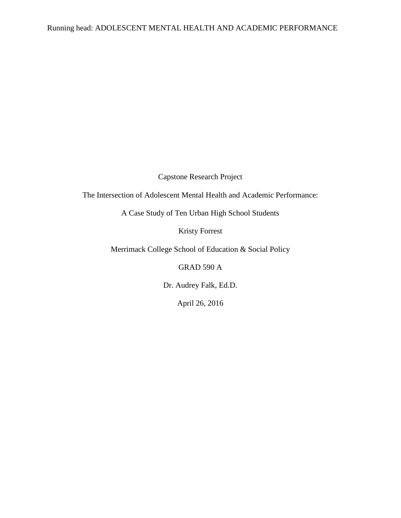Capstone Research Project

The Intersection of Adolescent Mental Health and Academic Performance:

A Case Study of Ten Urban High School Students

Kristy Forrest

Merrimack College School of Education & Social Policy

GRAD 590 A

Dr. Audrey Falk, Ed.D.

April 26, 2016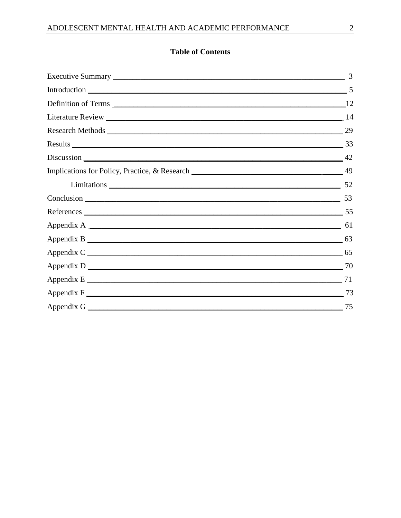# **Table of Contents**

|                                                               | 3 |
|---------------------------------------------------------------|---|
| Introduction 5                                                |   |
|                                                               |   |
|                                                               |   |
|                                                               |   |
| Results 33                                                    |   |
|                                                               |   |
| Implications for Policy, Practice, & Research 2008. [2016] 49 |   |
| Limitations 52                                                |   |
| Conclusion 53                                                 |   |
|                                                               |   |
|                                                               |   |
|                                                               |   |
|                                                               |   |
|                                                               |   |
|                                                               |   |
|                                                               |   |
|                                                               |   |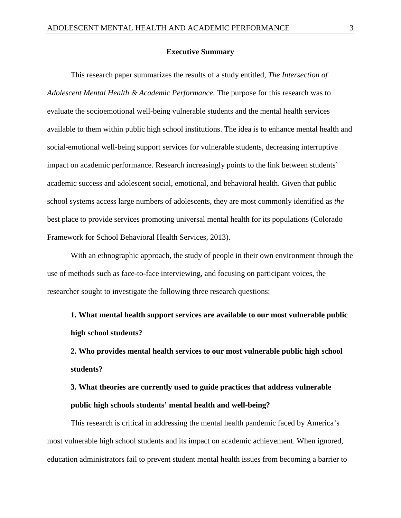#### **Executive Summary**

This research paper summarizes the results of a study entitled, *The Intersection of Adolescent Mental Health & Academic Performance.* The purpose for this research was to evaluate the socioemotional well-being vulnerable students and the mental health services available to them within public high school institutions. The idea is to enhance mental health and social-emotional well-being support services for vulnerable students, decreasing interruptive impact on academic performance. Research increasingly points to the link between students' academic success and adolescent social, emotional, and behavioral health. Given that public school systems access large numbers of adolescents, they are most commonly identified as *the*  best place to provide services promoting universal mental health for its populations (Colorado Framework for School Behavioral Health Services, 2013).

With an ethnographic approach, the study of people in their own environment through the use of methods such as face-to-face interviewing, and focusing on participant voices, the researcher sought to investigate the following three research questions:

**1. What mental health support services are available to our most vulnerable public high school students?**

**2. Who provides mental health services to our most vulnerable public high school students?** 

**3. What theories are currently used to guide practices that address vulnerable public high schools students' mental health and well-being?**

This research is critical in addressing the mental health pandemic faced by America's most vulnerable high school students and its impact on academic achievement. When ignored, education administrators fail to prevent student mental health issues from becoming a barrier to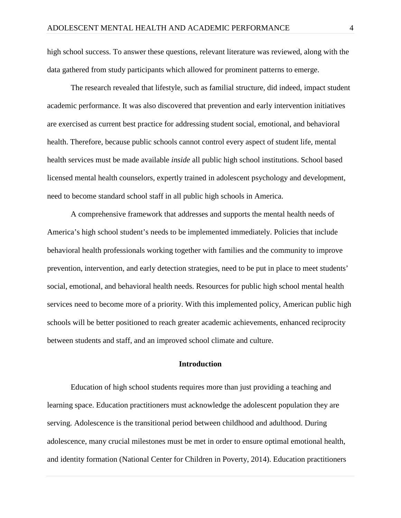high school success. To answer these questions, relevant literature was reviewed, along with the data gathered from study participants which allowed for prominent patterns to emerge.

The research revealed that lifestyle, such as familial structure, did indeed, impact student academic performance. It was also discovered that prevention and early intervention initiatives are exercised as current best practice for addressing student social, emotional, and behavioral health. Therefore, because public schools cannot control every aspect of student life, mental health services must be made available *inside* all public high school institutions. School based licensed mental health counselors, expertly trained in adolescent psychology and development, need to become standard school staff in all public high schools in America.

A comprehensive framework that addresses and supports the mental health needs of America's high school student's needs to be implemented immediately. Policies that include behavioral health professionals working together with families and the community to improve prevention, intervention, and early detection strategies, need to be put in place to meet students' social, emotional, and behavioral health needs. Resources for public high school mental health services need to become more of a priority. With this implemented policy, American public high schools will be better positioned to reach greater academic achievements, enhanced reciprocity between students and staff, and an improved school climate and culture.

# **Introduction**

Education of high school students requires more than just providing a teaching and learning space. Education practitioners must acknowledge the adolescent population they are serving. Adolescence is the transitional period between childhood and adulthood. During adolescence, many crucial milestones must be met in order to ensure optimal emotional health, and identity formation (National Center for Children in Poverty, 2014). Education practitioners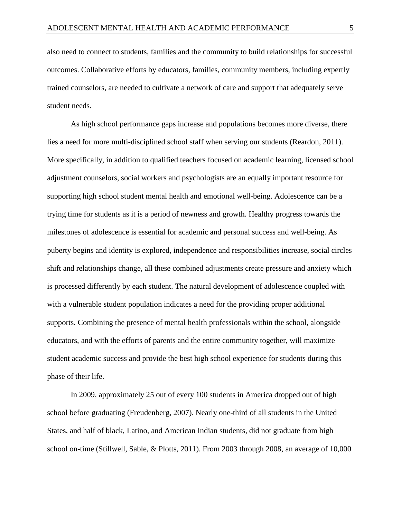also need to connect to students, families and the community to build relationships for successful outcomes. Collaborative efforts by educators, families, community members, including expertly trained counselors, are needed to cultivate a network of care and support that adequately serve student needs.

As high school performance gaps increase and populations becomes more diverse, there lies a need for more multi-disciplined school staff when serving our students (Reardon, 2011). More specifically, in addition to qualified teachers focused on academic learning, licensed school adjustment counselors, social workers and psychologists are an equally important resource for supporting high school student mental health and emotional well-being. Adolescence can be a trying time for students as it is a period of newness and growth. Healthy progress towards the milestones of adolescence is essential for academic and personal success and well-being. As puberty begins and identity is explored, independence and responsibilities increase, social circles shift and relationships change, all these combined adjustments create pressure and anxiety which is processed differently by each student. The natural development of adolescence coupled with with a vulnerable student population indicates a need for the providing proper additional supports. Combining the presence of mental health professionals within the school, alongside educators, and with the efforts of parents and the entire community together, will maximize student academic success and provide the best high school experience for students during this phase of their life.

In 2009, approximately 25 out of every 100 students in America dropped out of high school before graduating (Freudenberg, 2007). Nearly one-third of all students in the United States, and half of black, Latino, and American Indian students, did not graduate from high school on-time (Stillwell, Sable, & Plotts, 2011). From 2003 through 2008, an average of 10,000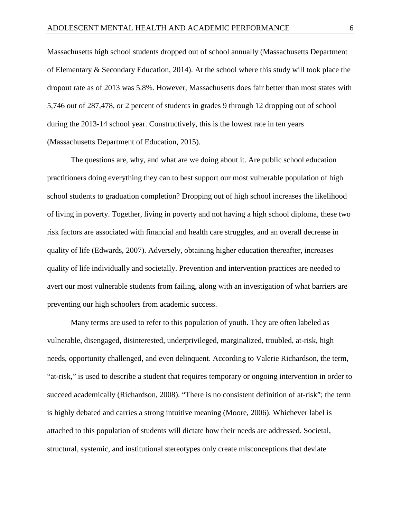Massachusetts high school students dropped out of school annually (Massachusetts Department of Elementary & Secondary Education, 2014). At the school where this study will took place the dropout rate as of 2013 was 5.8%. However, Massachusetts does fair better than most states with 5,746 out of 287,478, or 2 percent of students in grades 9 through 12 dropping out of school during the 2013-14 school year. Constructively, this is the lowest rate in ten years (Massachusetts Department of Education, 2015).

The questions are, why, and what are we doing about it. Are public school education practitioners doing everything they can to best support our most vulnerable population of high school students to graduation completion? Dropping out of high school increases the likelihood of living in poverty. Together, living in poverty and not having a high school diploma, these two risk factors are associated with financial and health care struggles, and an overall decrease in quality of life (Edwards, 2007). Adversely, obtaining higher education thereafter, increases quality of life individually and societally. Prevention and intervention practices are needed to avert our most vulnerable students from failing, along with an investigation of what barriers are preventing our high schoolers from academic success.

Many terms are used to refer to this population of youth. They are often labeled as vulnerable, disengaged, disinterested, underprivileged, marginalized, troubled, at-risk, high needs, opportunity challenged, and even delinquent. According to Valerie Richardson, the term, "at-risk," is used to describe a student that requires temporary or ongoing intervention in order to succeed academically (Richardson, 2008). "There is no consistent definition of at-risk"; the term is highly debated and carries a strong intuitive meaning (Moore, 2006). Whichever label is attached to this population of students will dictate how their needs are addressed. Societal, structural, systemic, and institutional stereotypes only create misconceptions that deviate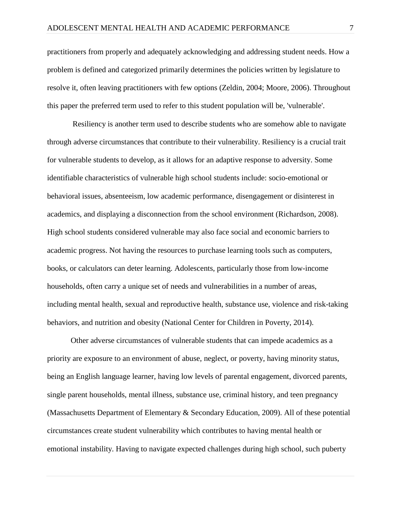practitioners from properly and adequately acknowledging and addressing student needs. How a problem is defined and categorized primarily determines the policies written by legislature to resolve it, often leaving practitioners with few options (Zeldin, 2004; Moore, 2006). Throughout this paper the preferred term used to refer to this student population will be, 'vulnerable'.

Resiliency is another term used to describe students who are somehow able to navigate through adverse circumstances that contribute to their vulnerability. Resiliency is a crucial trait for vulnerable students to develop, as it allows for an adaptive response to adversity. Some identifiable characteristics of vulnerable high school students include: socio-emotional or behavioral issues, absenteeism, low academic performance, disengagement or disinterest in academics, and displaying a disconnection from the school environment (Richardson, 2008). High school students considered vulnerable may also face social and economic barriers to academic progress. Not having the resources to purchase learning tools such as computers, books, or calculators can deter learning. Adolescents, particularly those from low-income households, often carry a unique set of needs and vulnerabilities in a number of areas, including [mental health,](http://www.nccp.org/topics/mentalhealth.html) sexual and reproductive health, substance use, violence and risk-taking behaviors, and nutrition and obesity (National Center for Children in Poverty, 2014).

Other adverse circumstances of vulnerable students that can impede academics as a priority are exposure to an environment of abuse, neglect, or poverty, having minority status, being an English language learner, having low levels of parental engagement, divorced parents, single parent households, mental illness, substance use, criminal history, and teen pregnancy (Massachusetts Department of Elementary & Secondary Education, 2009). All of these potential circumstances create student vulnerability which contributes to having mental health or emotional instability. Having to navigate expected challenges during high school, such puberty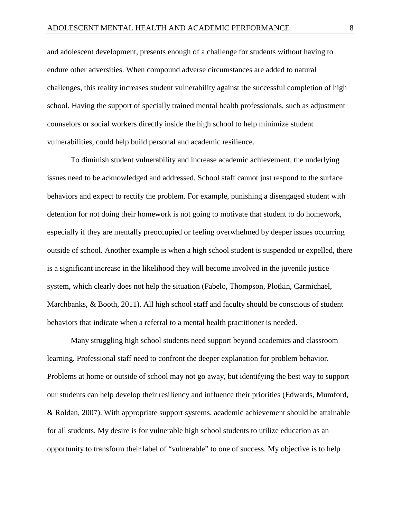and adolescent development, presents enough of a challenge for students without having to endure other adversities. When compound adverse circumstances are added to natural challenges, this reality increases student vulnerability against the successful completion of high school. Having the support of specially trained mental health professionals, such as adjustment counselors or social workers directly inside the high school to help minimize student vulnerabilities, could help build personal and academic resilience.

To diminish student vulnerability and increase academic achievement, the underlying issues need to be acknowledged and addressed. School staff cannot just respond to the surface behaviors and expect to rectify the problem. For example, punishing a disengaged student with detention for not doing their homework is not going to motivate that student to do homework, especially if they are mentally preoccupied or feeling overwhelmed by deeper issues occurring outside of school. Another example is when a high school student is suspended or expelled, there is a significant increase in the likelihood they will become involved in the juvenile justice system, which clearly does not help the situation (Fabelo, Thompson, Plotkin, Carmichael, Marchbanks, & Booth, 2011). All high school staff and faculty should be conscious of student behaviors that indicate when a referral to a mental health practitioner is needed.

Many struggling high school students need support beyond academics and classroom learning. Professional staff need to confront the deeper explanation for problem behavior. Problems at home or outside of school may not go away, but identifying the best way to support our students can help develop their resiliency and influence their priorities (Edwards, Mumford, & Roldan, 2007). With appropriate support systems, academic achievement should be attainable for all students. My desire is for vulnerable high school students to utilize education as an opportunity to transform their label of "vulnerable" to one of success. My objective is to help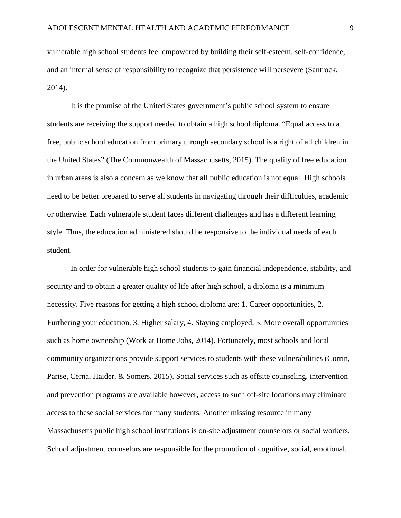vulnerable high school students feel empowered by building their self-esteem, self-confidence, and an internal sense of responsibility to recognize that persistence will persevere (Santrock, 2014).

It is the promise of the United States government's public school system to ensure students are receiving the support needed to obtain a high school diploma. "Equal access to a free, public school education from primary through secondary school is a right of all children in the United States" (The Commonwealth of Massachusetts, 2015). The quality of free education in urban areas is also a concern as we know that all public education is not equal. High schools need to be better prepared to serve all students in navigating through their difficulties, academic or otherwise. Each vulnerable student faces different challenges and has a different learning style. Thus, the education administered should be responsive to the individual needs of each student.

In order for vulnerable high school students to gain financial independence, stability, and security and to obtain a greater quality of life after high school, a diploma is a minimum necessity. Five reasons for getting a high school diploma are: 1. Career opportunities, 2. Furthering your education, 3. Higher salary, 4. Staying employed, 5. More overall opportunities such as home ownership (Work at Home Jobs, 2014). Fortunately, most schools and local community organizations provide support services to students with these vulnerabilities (Corrin, Parise, Cerna, Haider, & Somers, 2015). Social services such as offsite counseling, intervention and prevention programs are available however, access to such off-site locations may eliminate access to these social services for many students. Another missing resource in many Massachusetts public high school institutions is on-site adjustment counselors or social workers. School adjustment counselors are responsible for the promotion of cognitive, social, emotional,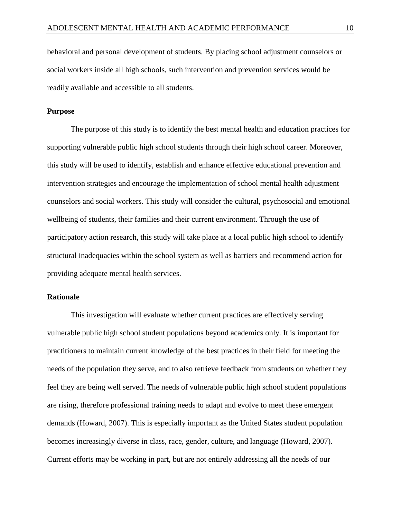behavioral and personal development of students. By placing school adjustment counselors or social workers inside all high schools, such intervention and prevention services would be readily available and accessible to all students.

#### **Purpose**

The purpose of this study is to identify the best mental health and education practices for supporting vulnerable public high school students through their high school career. Moreover, this study will be used to identify, establish and enhance effective educational prevention and intervention strategies and encourage the implementation of school mental health adjustment counselors and social workers. This study will consider the cultural, psychosocial and emotional wellbeing of students, their families and their current environment. Through the use of participatory action research, this study will take place at a local public high school to identify structural inadequacies within the school system as well as barriers and recommend action for providing adequate mental health services.

#### **Rationale**

This investigation will evaluate whether current practices are effectively serving vulnerable public high school student populations beyond academics only. It is important for practitioners to maintain current knowledge of the best practices in their field for meeting the needs of the population they serve, and to also retrieve feedback from students on whether they feel they are being well served. The needs of vulnerable public high school student populations are rising, therefore professional training needs to adapt and evolve to meet these emergent demands (Howard, 2007). This is especially important as the United States student population becomes increasingly diverse in class, race, gender, culture, and language (Howard, 2007). Current efforts may be working in part, but are not entirely addressing all the needs of our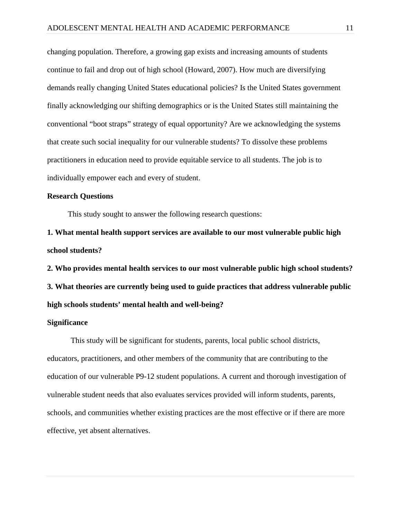changing population. Therefore, a growing gap exists and increasing amounts of students continue to fail and drop out of high school (Howard, 2007). How much are diversifying demands really changing United States educational policies? Is the United States government finally acknowledging our shifting demographics or is the United States still maintaining the conventional "boot straps" strategy of equal opportunity? Are we acknowledging the systems that create such social inequality for our vulnerable students? To dissolve these problems practitioners in education need to provide equitable service to all students. The job is to individually empower each and every of student.

## **Research Questions**

This study sought to answer the following research questions:

**1. What mental health support services are available to our most vulnerable public high school students?**

**2. Who provides mental health services to our most vulnerable public high school students? 3. What theories are currently being used to guide practices that address vulnerable public high schools students' mental health and well-being?**

#### **Significance**

This study will be significant for students, parents, local public school districts, educators, practitioners, and other members of the community that are contributing to the education of our vulnerable P9-12 student populations. A current and thorough investigation of vulnerable student needs that also evaluates services provided will inform students, parents, schools, and communities whether existing practices are the most effective or if there are more effective, yet absent alternatives.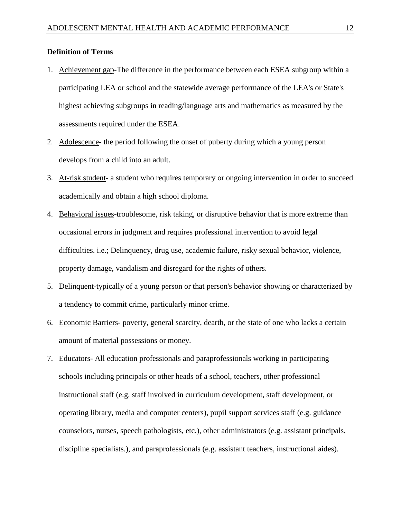# **Definition of Terms**

- 1. Achievement gap-The difference in the performance between each ESEA subgroup within a participating LEA or school and the statewide average performance of the LEA's or State's highest achieving subgroups in reading/language arts and mathematics as measured by the assessments required under the ESEA.
- 2. Adolescence- the period following the onset of puberty during which a young person develops from a child into an adult.
- 3. At-risk student- a student who requires temporary or ongoing intervention in order to succeed academically and obtain a high school diploma.
- 4. Behavioral issues-troublesome, risk taking, or disruptive behavior that is more extreme than occasional errors in judgment and requires professional intervention to avoid legal difficulties. i.e.; Delinquency, drug use, academic failure, risky sexual behavior, violence, property damage, vandalism and disregard for the rights of others.
- 5. Delinquent-typically of a young person or that person's behavior showing or characterized by a tendency to commit crime, particularly minor crime.
- 6. Economic Barriers- poverty, general scarcity, dearth, or the state of one who lacks a certain amount of material possessions or money.
- 7. Educators- All education professionals and paraprofessionals working in participating schools including principals or other heads of a school, teachers, other professional instructional staff (e.g. staff involved in curriculum development, staff development, or operating library, media and computer centers), pupil support services staff (e.g. guidance counselors, nurses, speech pathologists, etc.), other administrators (e.g. assistant principals, discipline specialists.), and paraprofessionals (e.g. assistant teachers, instructional aides).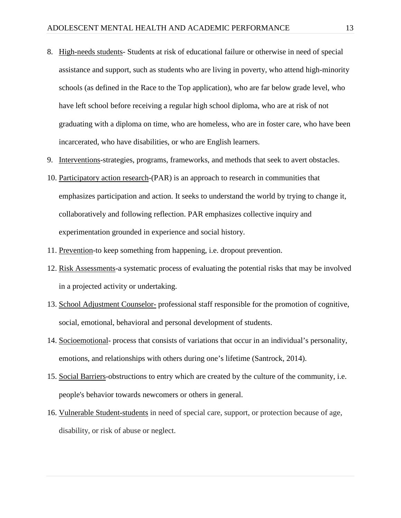- 8. High-needs students- Students at risk of educational failure or otherwise in need of special assistance and support, such as students who are living in poverty, who attend high-minority schools (as defined in the Race to the Top application), who are far below grade level, who have left school before receiving a regular high school diploma, who are at risk of not graduating with a diploma on time, who are homeless, who are in foster care, who have been incarcerated, who have disabilities, or who are English learners.
- 9. Interventions-strategies, programs, frameworks, and methods that seek to avert obstacles.
- 10. Participatory action research-(PAR) is an approach to research in communities that emphasizes participation and action. It seeks to understand the world by trying to change it, collaboratively and following reflection. PAR emphasizes collective inquiry and experimentation grounded in experience and social history.
- 11. Prevention-to keep something from happening, i.e. dropout prevention.
- 12. Risk Assessments-a systematic process of evaluating the potential risks that may be involved in a projected activity or undertaking.
- 13. School Adjustment Counselor- professional staff responsible for the promotion of cognitive, social, emotional, behavioral and personal development of students.
- 14. Socioemotional- process that consists of variations that occur in an individual's personality, emotions, and relationships with others during one's lifetime (Santrock, 2014).
- 15. Social Barriers-obstructions to entry which are created by the culture of the community, i.e. people's behavior towards newcomers or others in general.
- 16. Vulnerable Student-students in need of special care, support, or protection because of age, disability, or risk of abuse or neglect.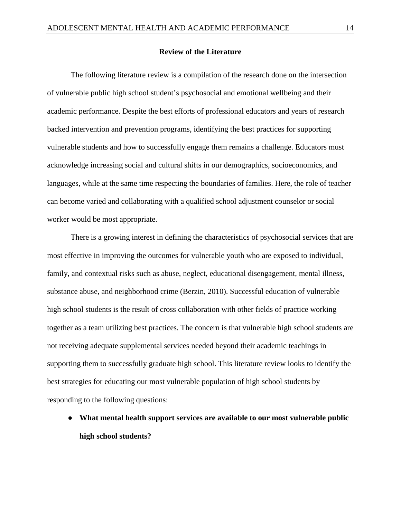#### **Review of the Literature**

The following literature review is a compilation of the research done on the intersection of vulnerable public high school student's psychosocial and emotional wellbeing and their academic performance. Despite the best efforts of professional educators and years of research backed intervention and prevention programs, identifying the best practices for supporting vulnerable students and how to successfully engage them remains a challenge. Educators must acknowledge increasing social and cultural shifts in our demographics, socioeconomics, and languages, while at the same time respecting the boundaries of families. Here, the role of teacher can become varied and collaborating with a qualified school adjustment counselor or social worker would be most appropriate.

There is a growing interest in defining the characteristics of psychosocial services that are most effective in improving the outcomes for vulnerable youth who are exposed to individual, family, and contextual risks such as abuse, neglect, educational disengagement, mental illness, substance abuse, and neighborhood crime (Berzin, 2010). Successful education of vulnerable high school students is the result of cross collaboration with other fields of practice working together as a team utilizing best practices. The concern is that vulnerable high school students are not receiving adequate supplemental services needed beyond their academic teachings in supporting them to successfully graduate high school. This literature review looks to identify the best strategies for educating our most vulnerable population of high school students by responding to the following questions:

● **What mental health support services are available to our most vulnerable public high school students?**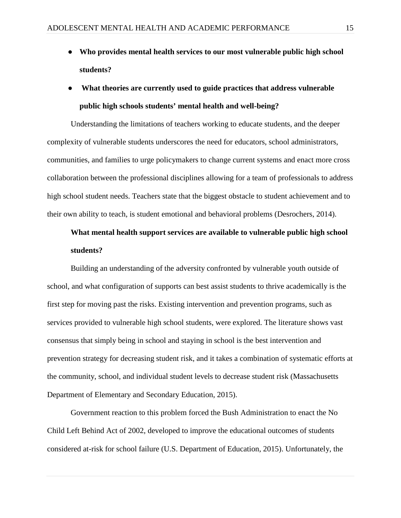- **Who provides mental health services to our most vulnerable public high school students?**
- What theories are currently used to guide practices that address vulnerable **public high schools students' mental health and well-being?**

Understanding the limitations of teachers working to educate students, and the deeper complexity of vulnerable students underscores the need for educators, school administrators, communities, and families to urge policymakers to change current systems and enact more cross collaboration between the professional disciplines allowing for a team of professionals to address high school student needs. Teachers state that the biggest obstacle to student achievement and to their own ability to teach, is student emotional and behavioral problems (Desrochers, 2014).

# **What mental health support services are available to vulnerable public high school students?**

Building an understanding of the adversity confronted by vulnerable youth outside of school, and what configuration of supports can best assist students to thrive academically is the first step for moving past the risks. Existing intervention and prevention programs, such as services provided to vulnerable high school students, were explored. The literature shows vast consensus that simply being in school and staying in school is the best intervention and prevention strategy for decreasing student risk, and it takes a combination of systematic efforts at the community, school, and individual student levels to decrease student risk (Massachusetts Department of Elementary and Secondary Education, 2015).

Government reaction to this problem forced the Bush Administration to enact the No Child Left Behind Act of 2002, developed to improve the educational outcomes of students considered at-risk for school failure (U.S. Department of Education, 2015). Unfortunately, the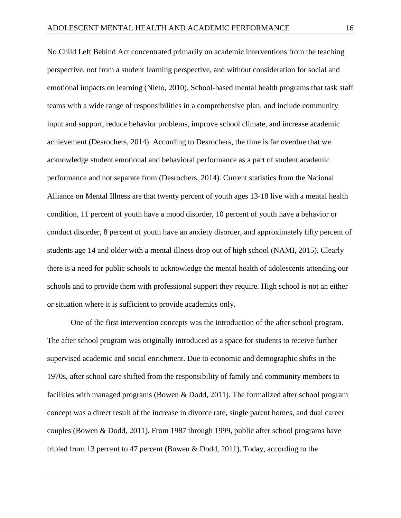No Child Left Behind Act concentrated primarily on academic interventions from the teaching perspective, not from a student learning perspective, and without consideration for social and emotional impacts on learning (Nieto, 2010). School-based mental health programs that task staff teams with a wide range of responsibilities in a comprehensive plan, and include community input and support, reduce behavior problems, improve school climate, and increase academic achievement (Desrochers, 2014). According to Desrochers, the time is far overdue that we acknowledge student emotional and behavioral performance as a part of student academic performance and not separate from (Desrochers, 2014). Current statistics from the National Alliance on Mental Illness are that twenty percent of youth ages 13-18 live with a mental health condition, 11 percent of youth have a mood disorder, 10 percent of youth have a behavior or conduct disorder, 8 percent of youth have an anxiety disorder, and approximately fifty percent of students age 14 and older with a mental illness drop out of high school (NAMI, 2015). Clearly there is a need for public schools to acknowledge the mental health of adolescents attending our schools and to provide them with professional support they require. High school is not an either or situation where it is sufficient to provide academics only.

One of the first intervention concepts was the introduction of the after school program. The after school program was originally introduced as a space for students to receive further supervised academic and social enrichment. Due to economic and demographic shifts in the 1970s, after school care shifted from the responsibility of family and community members to facilities with managed programs (Bowen & Dodd, 2011). The formalized after school program concept was a direct result of the increase in divorce rate, single parent homes, and dual career couples (Bowen & Dodd, 2011). From 1987 through 1999, public after school programs have tripled from 13 percent to 47 percent (Bowen & Dodd, 2011). Today, according to the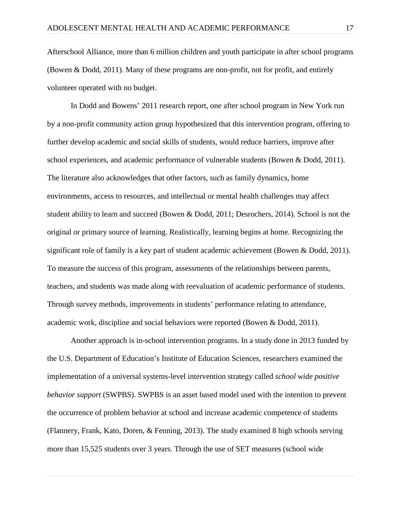Afterschool Alliance, more than 6 million children and youth participate in after school programs (Bowen & Dodd, 2011). Many of these programs are non-profit, not for profit, and entirely volunteer operated with no budget.

In Dodd and Bowens' 2011 research report, one after school program in New York run by a non-profit community action group hypothesized that this intervention program, offering to further develop academic and social skills of students, would reduce barriers, improve after school experiences, and academic performance of vulnerable students (Bowen & Dodd, 2011). The literature also acknowledges that other factors, such as family dynamics, home environments, access to resources, and intellectual or mental health challenges may affect student ability to learn and succeed (Bowen & Dodd, 2011; Desrochers, 2014). School is not the original or primary source of learning. Realistically, learning begins at home. Recognizing the significant role of family is a key part of student academic achievement (Bowen & Dodd, 2011). To measure the success of this program, assessments of the relationships between parents, teachers, and students was made along with reevaluation of academic performance of students. Through survey methods, improvements in students' performance relating to attendance, academic work, discipline and social behaviors were reported (Bowen & Dodd, 2011).

Another approach is in-school intervention programs. In a study done in 2013 funded by the U.S. Department of Education's Institute of Education Sciences, researchers examined the implementation of a universal systems-level intervention strategy called *school wide positive behavior support* (SWPBS). SWPBS is an asset based model used with the intention to prevent the occurrence of problem behavior at school and increase academic competence of students (Flannery, Frank, Kato, Doren, & Fenning, 2013). The study examined 8 high schools serving more than 15,525 students over 3 years. Through the use of SET measures (school wide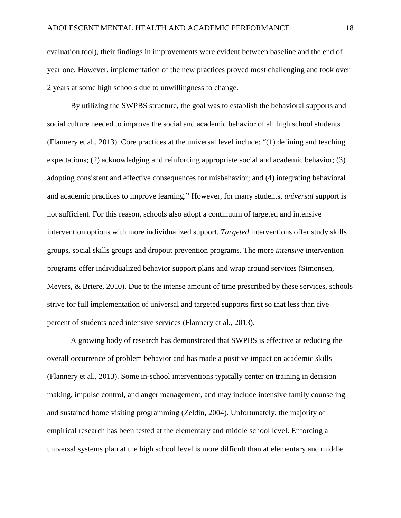evaluation tool), their findings in improvements were evident between baseline and the end of year one. However, implementation of the new practices proved most challenging and took over 2 years at some high schools due to unwillingness to change.

By utilizing the SWPBS structure, the goal was to establish the behavioral supports and social culture needed to improve the social and academic behavior of all high school students (Flannery et al., 2013). Core practices at the universal level include: "(1) defining and teaching expectations; (2) acknowledging and reinforcing appropriate social and academic behavior; (3) adopting consistent and effective consequences for misbehavior; and (4) integrating behavioral and academic practices to improve learning." However, for many students, *universal* support is not sufficient. For this reason, schools also adopt a continuum of targeted and intensive intervention options with more individualized support. *Targeted* interventions offer study skills groups, social skills groups and dropout prevention programs. The more *intensive* intervention programs offer individualized behavior support plans and wrap around services (Simonsen, Meyers, & Briere, 2010). Due to the intense amount of time prescribed by these services, schools strive for full implementation of universal and targeted supports first so that less than five percent of students need intensive services (Flannery et al., 2013).

A growing body of research has demonstrated that SWPBS is effective at reducing the overall occurrence of problem behavior and has made a positive impact on academic skills (Flannery et al., 2013). Some in-school interventions typically center on training in decision making, impulse control, and anger management, and may include intensive family counseling and sustained home visiting programming (Zeldin, 2004). Unfortunately, the majority of empirical research has been tested at the elementary and middle school level. Enforcing a universal systems plan at the high school level is more difficult than at elementary and middle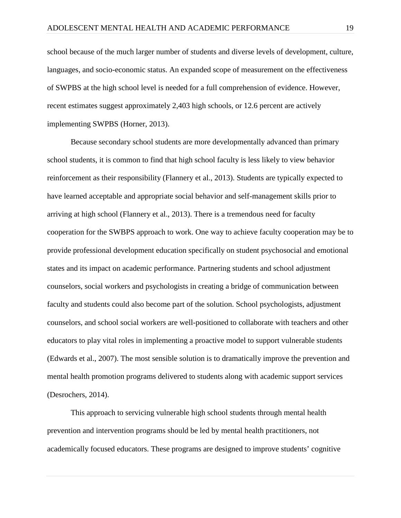school because of the much larger number of students and diverse levels of development, culture, languages, and socio-economic status. An expanded scope of measurement on the effectiveness of SWPBS at the high school level is needed for a full comprehension of evidence. However, recent estimates suggest approximately 2,403 high schools, or 12.6 percent are actively implementing SWPBS (Horner, 2013).

Because secondary school students are more developmentally advanced than primary school students, it is common to find that high school faculty is less likely to view behavior reinforcement as their responsibility (Flannery et al., 2013). Students are typically expected to have learned acceptable and appropriate social behavior and self-management skills prior to arriving at high school (Flannery et al., 2013). There is a tremendous need for faculty cooperation for the SWBPS approach to work. One way to achieve faculty cooperation may be to provide professional development education specifically on student psychosocial and emotional states and its impact on academic performance. Partnering students and school adjustment counselors, social workers and psychologists in creating a bridge of communication between faculty and students could also become part of the solution. School psychologists, adjustment counselors, and school social workers are well-positioned to collaborate with teachers and other educators to play vital roles in implementing a proactive model to support vulnerable students (Edwards et al., 2007). The most sensible solution is to dramatically improve the prevention and mental health promotion programs delivered to students along with academic support services (Desrochers, 2014).

This approach to servicing vulnerable high school students through mental health prevention and intervention programs should be led by mental health practitioners, not academically focused educators. These programs are designed to improve students' cognitive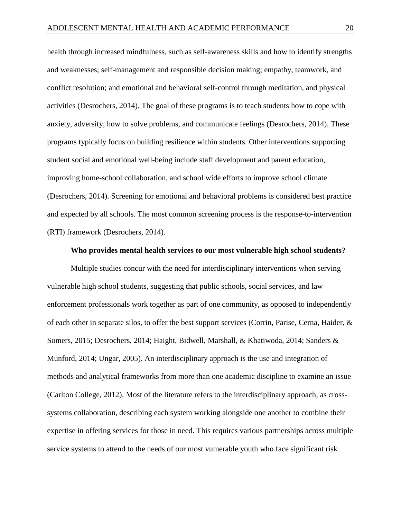health through increased mindfulness, such as self-awareness skills and how to identify strengths and weaknesses; self-management and responsible decision making; empathy, teamwork, and conflict resolution; and emotional and behavioral self-control through meditation, and physical activities (Desrochers, 2014). The goal of these programs is to teach students how to cope with anxiety, adversity, how to solve problems, and communicate feelings (Desrochers, 2014). These programs typically focus on building resilience within students. Other interventions supporting student social and emotional well-being include staff development and parent education, improving home-school collaboration, and school wide efforts to improve school climate (Desrochers, 2014). Screening for emotional and behavioral problems is considered best practice and expected by all schools. The most common screening process is the response-to-intervention (RTI) framework (Desrochers, 2014).

#### **Who provides mental health services to our most vulnerable high school students?**

Multiple studies concur with the need for interdisciplinary interventions when serving vulnerable high school students, suggesting that public schools, social services, and law enforcement professionals work together as part of one community, as opposed to independently of each other in separate silos, to offer the best support services (Corrin, Parise, Cerna, Haider, & Somers, 2015; Desrochers, 2014; Haight, Bidwell, Marshall, & Khatiwoda, 2014; Sanders & Munford, 2014; Ungar, 2005). An interdisciplinary approach is the use and integration of methods and analytical frameworks from more than one academic discipline to examine an issue (Carlton College, 2012). Most of the literature refers to the interdisciplinary approach, as crosssystems collaboration, describing each system working alongside one another to combine their expertise in offering services for those in need. This requires various partnerships across multiple service systems to attend to the needs of our most vulnerable youth who face significant risk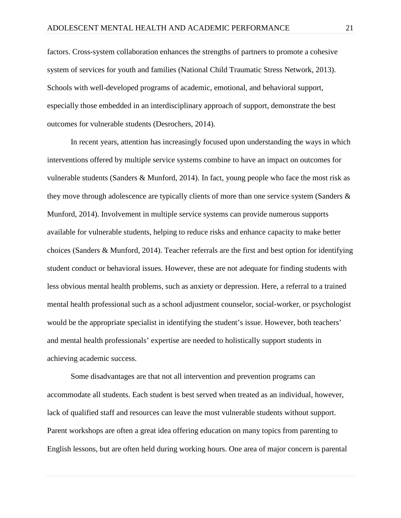factors. Cross-system collaboration enhances the strengths of partners to promote a cohesive system of services for youth and families (National Child Traumatic Stress Network, 2013). Schools with well-developed programs of academic, emotional, and behavioral support, especially those embedded in an interdisciplinary approach of support, demonstrate the best outcomes for vulnerable students (Desrochers, 2014).

In recent years, attention has increasingly focused upon understanding the ways in which interventions offered by multiple service systems combine to have an impact on outcomes for vulnerable students (Sanders & Munford, 2014). In fact, young people who face the most risk as they move through adolescence are typically clients of more than one service system (Sanders  $\&$ Munford, 2014). Involvement in multiple service systems can provide numerous supports available for vulnerable students, helping to reduce risks and enhance capacity to make better choices (Sanders & Munford, 2014). Teacher referrals are the first and best option for identifying student conduct or behavioral issues. However, these are not adequate for finding students with less obvious mental health problems, such as anxiety or depression. Here, a referral to a trained mental health professional such as a school adjustment counselor, social-worker, or psychologist would be the appropriate specialist in identifying the student's issue. However, both teachers' and mental health professionals' expertise are needed to holistically support students in achieving academic success.

Some disadvantages are that not all intervention and prevention programs can accommodate all students. Each student is best served when treated as an individual, however, lack of qualified staff and resources can leave the most vulnerable students without support. Parent workshops are often a great idea offering education on many topics from parenting to English lessons, but are often held during working hours. One area of major concern is parental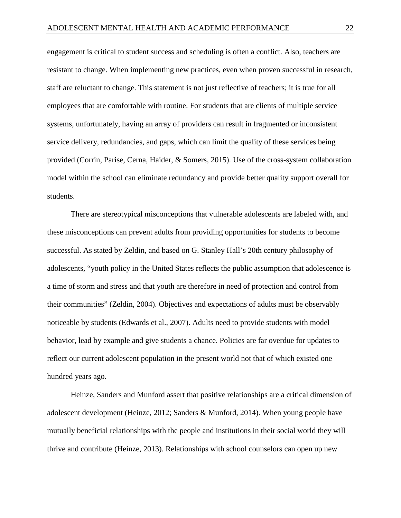engagement is critical to student success and scheduling is often a conflict. Also, teachers are resistant to change. When implementing new practices, even when proven successful in research, staff are reluctant to change. This statement is not just reflective of teachers; it is true for all employees that are comfortable with routine. For students that are clients of multiple service systems, unfortunately, having an array of providers can result in fragmented or inconsistent service delivery, redundancies, and gaps, which can limit the quality of these services being provided (Corrin, Parise, Cerna, Haider, & Somers, 2015). Use of the cross-system collaboration model within the school can eliminate redundancy and provide better quality support overall for students.

There are stereotypical misconceptions that vulnerable adolescents are labeled with, and these misconceptions can prevent adults from providing opportunities for students to become successful. As stated by Zeldin, and based on G. Stanley Hall's 20th century philosophy of adolescents, "youth policy in the United States reflects the public assumption that adolescence is a time of storm and stress and that youth are therefore in need of protection and control from their communities" (Zeldin, 2004). Objectives and expectations of adults must be observably noticeable by students (Edwards et al., 2007). Adults need to provide students with model behavior, lead by example and give students a chance. Policies are far overdue for updates to reflect our current adolescent population in the present world not that of which existed one hundred years ago.

Heinze, Sanders and Munford assert that positive relationships are a critical dimension of adolescent development (Heinze, 2012; Sanders & Munford, 2014). When young people have mutually beneficial relationships with the people and institutions in their social world they will thrive and contribute (Heinze, 2013). Relationships with school counselors can open up new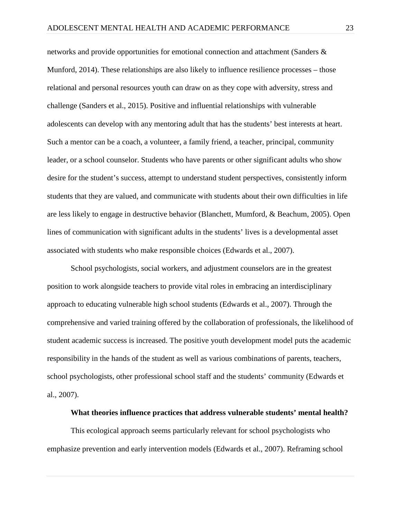networks and provide opportunities for emotional connection and attachment (Sanders & Munford, 2014). These relationships are also likely to influence resilience processes – those relational and personal resources youth can draw on as they cope with adversity, stress and challenge (Sanders et al., 2015). Positive and influential relationships with vulnerable adolescents can develop with any mentoring adult that has the students' best interests at heart. Such a mentor can be a coach, a volunteer, a family friend, a teacher, principal, community leader, or a school counselor. Students who have parents or other significant adults who show desire for the student's success, attempt to understand student perspectives, consistently inform students that they are valued, and communicate with students about their own difficulties in life are less likely to engage in destructive behavior (Blanchett, Mumford, & Beachum, 2005). Open lines of communication with significant adults in the students' lives is a developmental asset associated with students who make responsible choices (Edwards et al., 2007).

School psychologists, social workers, and adjustment counselors are in the greatest position to work alongside teachers to provide vital roles in embracing an interdisciplinary approach to educating vulnerable high school students (Edwards et al., 2007). Through the comprehensive and varied training offered by the collaboration of professionals, the likelihood of student academic success is increased. The positive youth development model puts the academic responsibility in the hands of the student as well as various combinations of parents, teachers, school psychologists, other professional school staff and the students' community (Edwards et al., 2007).

#### **What theories influence practices that address vulnerable students' mental health?**

This ecological approach seems particularly relevant for school psychologists who emphasize prevention and early intervention models (Edwards et al., 2007). Reframing school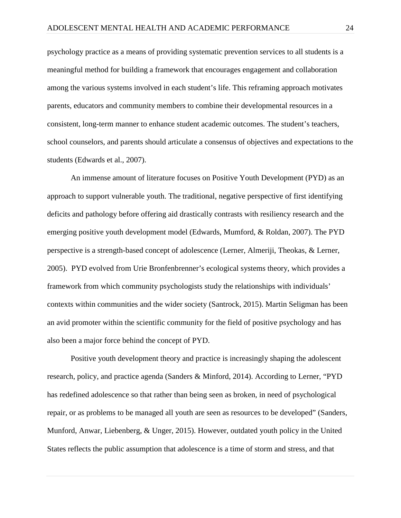psychology practice as a means of providing systematic prevention services to all students is a meaningful method for building a framework that encourages engagement and collaboration among the various systems involved in each student's life. This reframing approach motivates parents, educators and community members to combine their developmental resources in a consistent, long-term manner to enhance student academic outcomes. The student's teachers, school counselors, and parents should articulate a consensus of objectives and expectations to the students (Edwards et al., 2007).

An immense amount of literature focuses on Positive Youth Development (PYD) as an approach to support vulnerable youth. The traditional, negative perspective of first identifying deficits and pathology before offering aid drastically contrasts with resiliency research and the emerging positive youth development model (Edwards, Mumford, & Roldan, 2007). The PYD perspective is a strength-based concept of adolescence (Lerner, Almeriji, Theokas, & Lerner, 2005). PYD evolved from Urie Bronfenbrenner's ecological systems theory, which provides a framework from which [community psychologists](https://en.wikipedia.org/wiki/Community_psychology) study the relationships with individuals' contexts within communities and the wider society (Santrock, 2015). Martin Seligman has been an avid promoter within the scientific community for the field of positive psychology and has also been a major force behind the concept of PYD.

Positive youth development theory and practice is increasingly shaping the adolescent research, policy, and practice agenda (Sanders & Minford, 2014). According to Lerner, "PYD has redefined adolescence so that rather than being seen as broken, in need of psychological repair, or as problems to be managed all youth are seen as resources to be developed" (Sanders, Munford, Anwar, Liebenberg, & Unger, 2015). However, outdated youth policy in the United States reflects the public assumption that adolescence is a time of storm and stress, and that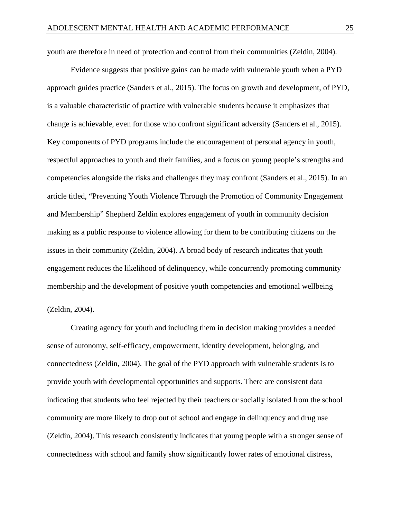youth are therefore in need of protection and control from their communities (Zeldin, 2004).

Evidence suggests that positive gains can be made with vulnerable youth when a PYD approach guides practice (Sanders et al., 2015). The focus on growth and development, of PYD, is a valuable characteristic of practice with vulnerable students because it emphasizes that change is achievable, even for those who confront significant adversity (Sanders et al., 2015). Key components of PYD programs include the encouragement of personal agency in youth, respectful approaches to youth and their families, and a focus on young people's strengths and competencies alongside the risks and challenges they may confront (Sanders et al., 2015). In an article titled, "Preventing Youth Violence Through the Promotion of Community Engagement and Membership" Shepherd Zeldin explores engagement of youth in community decision making as a public response to violence allowing for them to be contributing citizens on the issues in their community (Zeldin, 2004). A broad body of research indicates that youth engagement reduces the likelihood of delinquency, while concurrently promoting community membership and the development of positive youth competencies and emotional wellbeing (Zeldin, 2004).

Creating agency for youth and including them in decision making provides a needed sense of autonomy, self-efficacy, empowerment, identity development, belonging, and connectedness (Zeldin, 2004). The goal of the PYD approach with vulnerable students is to provide youth with developmental opportunities and supports. There are consistent data indicating that students who feel rejected by their teachers or socially isolated from the school community are more likely to drop out of school and engage in delinquency and drug use (Zeldin, 2004). This research consistently indicates that young people with a stronger sense of connectedness with school and family show significantly lower rates of emotional distress,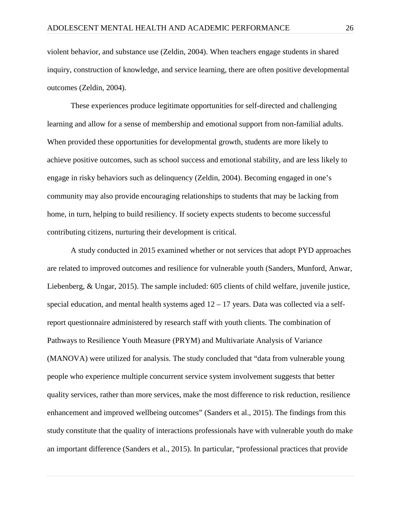violent behavior, and substance use (Zeldin, 2004). When teachers engage students in shared inquiry, construction of knowledge, and service learning, there are often positive developmental outcomes (Zeldin, 2004).

These experiences produce legitimate opportunities for self-directed and challenging learning and allow for a sense of membership and emotional support from non-familial adults. When provided these opportunities for developmental growth, students are more likely to achieve positive outcomes, such as school success and emotional stability, and are less likely to engage in risky behaviors such as delinquency (Zeldin, 2004). Becoming engaged in one's community may also provide encouraging relationships to students that may be lacking from home, in turn, helping to build resiliency. If society expects students to become successful contributing citizens, nurturing their development is critical.

A study conducted in 2015 examined whether or not services that adopt PYD approaches are related to improved outcomes and resilience for vulnerable youth (Sanders, Munford, Anwar, Liebenberg, & Ungar, 2015). The sample included: 605 clients of child welfare, juvenile justice, special education, and mental health systems aged  $12 - 17$  years. Data was collected via a selfreport questionnaire administered by research staff with youth clients. The combination of Pathways to Resilience Youth Measure (PRYM) and Multivariate Analysis of Variance (MANOVA) were utilized for analysis. The study concluded that "data from vulnerable young people who experience multiple concurrent service system involvement suggests that better quality services, rather than more services, make the most difference to risk reduction, resilience enhancement and improved wellbeing outcomes" (Sanders et al., 2015). The findings from this study constitute that the quality of interactions professionals have with vulnerable youth do make an important difference (Sanders et al., 2015). In particular, "professional practices that provide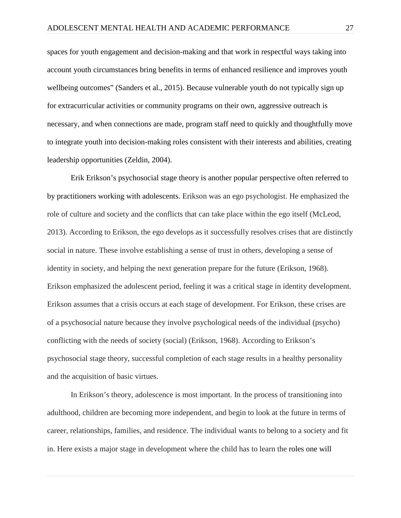spaces for youth engagement and decision-making and that work in respectful ways taking into account youth circumstances bring benefits in terms of enhanced resilience and improves youth wellbeing outcomes" (Sanders et al., 2015). Because vulnerable youth do not typically sign up for extracurricular activities or community programs on their own, aggressive outreach is necessary, and when connections are made, program staff need to quickly and thoughtfully move to integrate youth into decision-making roles consistent with their interests and abilities, creating leadership opportunities (Zeldin, 2004).

Erik Erikson's psychosocial stage theory is another popular perspective often referred to by practitioners working with adolescents. Erikson was an ego psychologist. He emphasized the role of culture and society and the conflicts that can take place within the ego itself (McLeod, 2013). According to Erikson, the ego develops as it successfully resolves crises that are distinctly social in nature. These involve establishing a sense of trust in others, developing a sense of identity in society, and helping the next generation prepare for the future (Erikson, 1968). Erikson emphasized the adolescent period, feeling it was a critical stage in identity development. Erikson assumes that a crisis occurs at each stage of development. For Erikson, these crises are of a psychosocial nature because they involve psychological needs of the individual (psycho) conflicting with the needs of society (social) (Erikson, 1968). According to Erikson's psychosocial stage theory, successful completion of each stage results in a healthy personality and the acquisition of basic virtues.

In Erikson's theory, adolescence is most important. In the process of transitioning into adulthood, children are becoming more independent, and begin to look at the future in terms of career, relationships, families, and residence. The individual wants to belong to a society and fit in. Here exists a major stage in development where the child has to learn the [roles](http://www.simplypsychology.org/social-roles.html) one will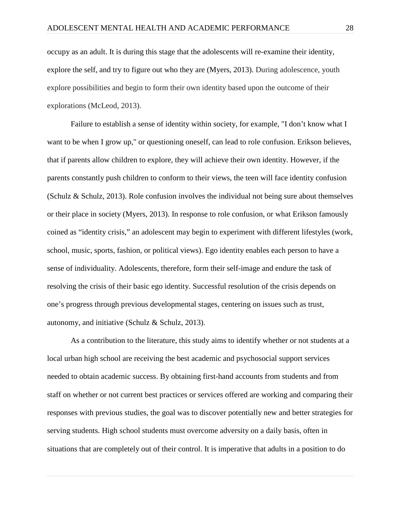occupy as an adult. It is during this stage that the adolescents will re-examine their identity, explore the self, and try to figure out who they are (Myers, 2013). During adolescence, youth explore possibilities and begin to form their own identity based upon the outcome of their explorations (McLeod, 2013).

Failure to establish a sense of identity within society, for example, "I don't know what I want to be when I grow up," or questioning oneself, can lead to role confusion. Erikson believes, that if parents allow children to explore, they will achieve their own identity. However, if the parents constantly push children to conform to their views, the teen will face identity confusion (Schulz & Schulz, 2013). Role confusion involves the individual not being sure about themselves or their place in society (Myers, 2013). In response to role confusion, or what Erikson famously coined as "identity crisis," an adolescent may begin to experiment with different lifestyles (work, school, music, sports, fashion, or political views). Ego identity enables each person to have a sense of individuality. Adolescents, therefore, form their self-image and endure the task of resolving the crisis of their basic ego identity. Successful resolution of the crisis depends on one's [progress through previous developmental stages,](https://en.wikipedia.org/wiki/Erikson%27s_stages_of_psychosocial_development) centering on issues such as trust, autonomy, and initiative (Schulz & Schulz, 2013).

As a contribution to the literature, this study aims to identify whether or not students at a local urban high school are receiving the best academic and psychosocial support services needed to obtain academic success. By obtaining first-hand accounts from students and from staff on whether or not current best practices or services offered are working and comparing their responses with previous studies, the goal was to discover potentially new and better strategies for serving students. High school students must overcome adversity on a daily basis, often in situations that are completely out of their control. It is imperative that adults in a position to do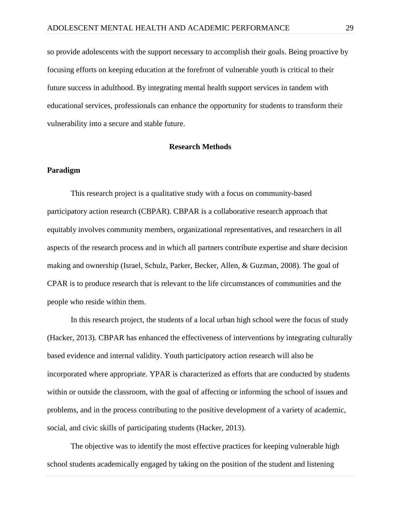so provide adolescents with the support necessary to accomplish their goals. Being proactive by focusing efforts on keeping education at the forefront of vulnerable youth is critical to their future success in adulthood. By integrating mental health support services in tandem with educational services, professionals can enhance the opportunity for students to transform their vulnerability into a secure and stable future.

#### **Research Methods**

# **Paradigm**

This research project is a qualitative study with a focus on community-based participatory action research (CBPAR). CBPAR is a collaborative research approach that equitably involves [community](https://en.wikipedia.org/wiki/Community) members, organizational representatives, and researchers in all aspects of the research process and in which all partners contribute expertise and share decision making and ownership (Israel, Schulz, Parker, Becker, Allen, & Guzman, 2008). The goal of CPAR is to produce research that is relevant to the life circumstances of communities and the people who reside within them.

In this research project, the students of a local urban high school were the focus of study (Hacker, 2013). CBPAR has enhanced the effectiveness of interventions by integrating culturally based evidence and internal validity. Youth participatory action research will also be incorporated where appropriate. YPAR is characterized as efforts that are conducted by students within or outside the classroom, with the goal of affecting or informing the school of issues and problems, and in the process contributing to the positive development of a variety of academic, social, and civic skills of participating students (Hacker, 2013).

The objective was to identify the most effective practices for keeping vulnerable high school students academically engaged by taking on the position of the student and listening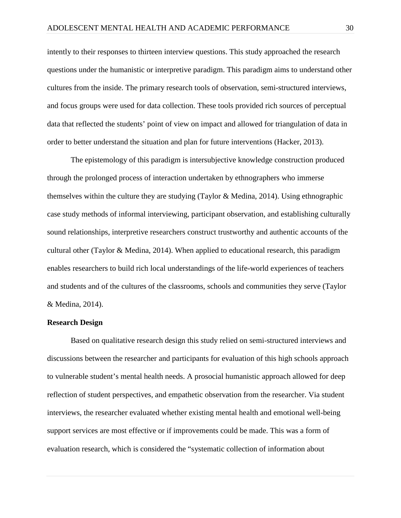intently to their responses to thirteen interview questions. This study approached the research questions under the humanistic or interpretive paradigm. This paradigm aims to understand other cultures from the inside. The primary research tools of observation, semi-structured interviews, and focus groups were used for data collection. These tools provided rich sources of perceptual data that reflected the students' point of view on impact and allowed for triangulation of data in order to better understand the situation and plan for future interventions (Hacker, 2013).

The epistemology of this paradigm is intersubjective knowledge construction produced through the prolonged process of interaction undertaken by ethnographers who immerse themselves within the culture they are studying (Taylor & Medina, 2014). Using ethnographic case study methods of informal interviewing, participant observation, and establishing culturally sound relationships, interpretive researchers construct trustworthy and authentic accounts of the cultural other (Taylor & Medina, 2014). When applied to educational research, this paradigm enables researchers to build rich local understandings of the life-world experiences of teachers and students and of the cultures of the classrooms, schools and communities they serve (Taylor & Medina, 2014).

#### **Research Design**

Based on qualitative research design this study relied on semi-structured interviews and discussions between the researcher and participants for evaluation of this high schools approach to vulnerable student's mental health needs. A prosocial humanistic approach allowed for deep reflection of student perspectives, and empathetic observation from the researcher. Via student interviews, the researcher evaluated whether existing mental health and emotional well-being support services are most effective or if improvements could be made. This was a form of evaluation research, which is considered the "systematic collection of information about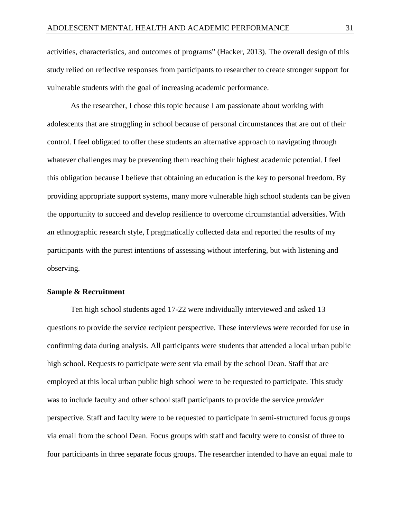activities, characteristics, and outcomes of programs" (Hacker, 2013). The overall design of this study relied on reflective responses from participants to researcher to create stronger support for vulnerable students with the goal of increasing academic performance.

As the researcher, I chose this topic because I am passionate about working with adolescents that are struggling in school because of personal circumstances that are out of their control. I feel obligated to offer these students an alternative approach to navigating through whatever challenges may be preventing them reaching their highest academic potential. I feel this obligation because I believe that obtaining an education is the key to personal freedom. By providing appropriate support systems, many more vulnerable high school students can be given the opportunity to succeed and develop resilience to overcome circumstantial adversities. With an ethnographic research style, I pragmatically collected data and reported the results of my participants with the purest intentions of assessing without interfering, but with listening and observing.

## **Sample & Recruitment**

Ten high school students aged 17-22 were individually interviewed and asked 13 questions to provide the service recipient perspective. These interviews were recorded for use in confirming data during analysis. All participants were students that attended a local urban public high school. Requests to participate were sent via email by the school Dean. Staff that are employed at this local urban public high school were to be requested to participate. This study was to include faculty and other school staff participants to provide the service *provider*  perspective. Staff and faculty were to be requested to participate in semi-structured focus groups via email from the school Dean. Focus groups with staff and faculty were to consist of three to four participants in three separate focus groups. The researcher intended to have an equal male to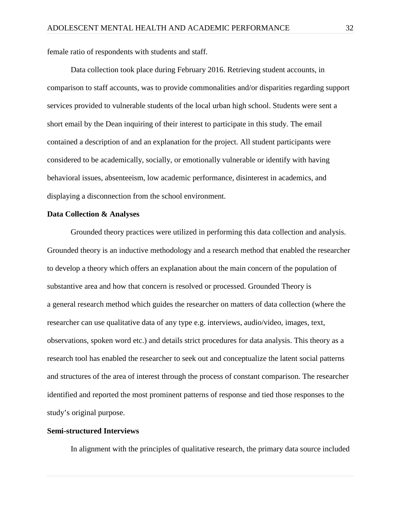female ratio of respondents with students and staff.

Data collection took place during February 2016. Retrieving student accounts, in comparison to staff accounts, was to provide commonalities and/or disparities regarding support services provided to vulnerable students of the local urban high school. Students were sent a short email by the Dean inquiring of their interest to participate in this study. The email contained a description of and an explanation for the project. All student participants were considered to be academically, socially, or emotionally vulnerable or identify with having behavioral issues, absenteeism, low academic performance, disinterest in academics, and displaying a disconnection from the school environment.

#### **Data Collection & Analyses**

Grounded theory practices were utilized in performing this data collection and analysis. Grounded theory is an inductive methodology and a research method that enabled the researcher to develop a theory which offers an explanation about the main concern of the population of substantive area and how that concern is resolved or processed. Grounded Theory is a general research method which guides the researcher on matters of data collection (where the researcher can use qualitative data of any type e.g. interviews, audio/video, images, text, observations, spoken word etc.) and details strict procedures for data analysis. This theory as a research tool has enabled the researcher to seek out and conceptualize the latent social patterns and structures of the area of interest through the process of constant comparison. The researcher identified and reported the most prominent patterns of response and tied those responses to the study's original purpose.

## **Semi-structured Interviews**

In alignment with the principles of qualitative research, the primary data source included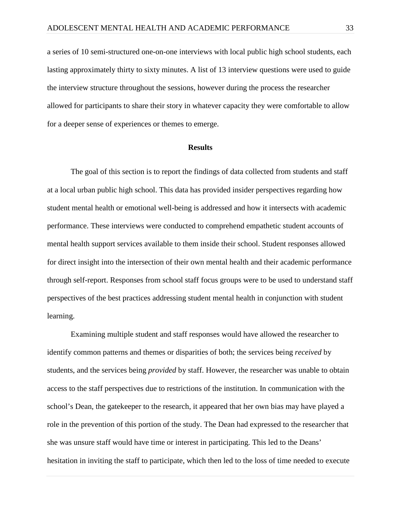a series of 10 semi-structured one-on-one interviews with local public high school students, each lasting approximately thirty to sixty minutes. A list of 13 interview questions were used to guide the interview structure throughout the sessions, however during the process the researcher allowed for participants to share their story in whatever capacity they were comfortable to allow for a deeper sense of experiences or themes to emerge.

#### **Results**

The goal of this section is to report the findings of data collected from students and staff at a local urban public high school. This data has provided insider perspectives regarding how student mental health or emotional well-being is addressed and how it intersects with academic performance. These interviews were conducted to comprehend empathetic student accounts of mental health support services available to them inside their school. Student responses allowed for direct insight into the intersection of their own mental health and their academic performance through self-report. Responses from school staff focus groups were to be used to understand staff perspectives of the best practices addressing student mental health in conjunction with student learning.

Examining multiple student and staff responses would have allowed the researcher to identify common patterns and themes or disparities of both; the services being *received* by students, and the services being *provided* by staff. However, the researcher was unable to obtain access to the staff perspectives due to restrictions of the institution. In communication with the school's Dean, the gatekeeper to the research, it appeared that her own bias may have played a role in the prevention of this portion of the study. The Dean had expressed to the researcher that she was unsure staff would have time or interest in participating. This led to the Deans' hesitation in inviting the staff to participate, which then led to the loss of time needed to execute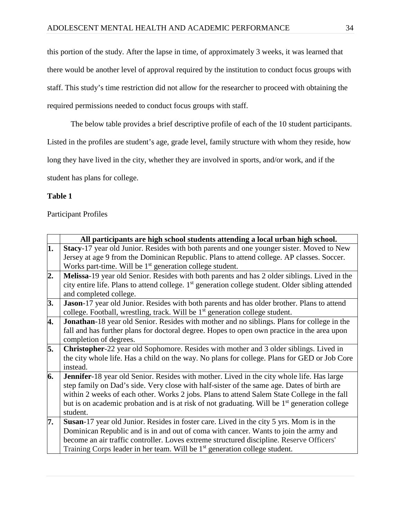this portion of the study. After the lapse in time, of approximately 3 weeks, it was learned that there would be another level of approval required by the institution to conduct focus groups with staff. This study's time restriction did not allow for the researcher to proceed with obtaining the required permissions needed to conduct focus groups with staff.

The below table provides a brief descriptive profile of each of the 10 student participants.

Listed in the profiles are student's age, grade level, family structure with whom they reside, how

long they have lived in the city, whether they are involved in sports, and/or work, and if the

student has plans for college.

# **Table 1**

Participant Profiles

|                  | All participants are high school students attending a local urban high school.                                                                                                                                                                                                                                                                                                                                  |
|------------------|-----------------------------------------------------------------------------------------------------------------------------------------------------------------------------------------------------------------------------------------------------------------------------------------------------------------------------------------------------------------------------------------------------------------|
| 1.               | Stacy-17 year old Junior. Resides with both parents and one younger sister. Moved to New<br>Jersey at age 9 from the Dominican Republic. Plans to attend college. AP classes. Soccer.<br>Works part-time. Will be $1st$ generation college student.                                                                                                                                                             |
| $\overline{2}$ . | Melissa-19 year old Senior. Resides with both parents and has 2 older siblings. Lived in the<br>city entire life. Plans to attend college. 1 <sup>st</sup> generation college student. Older sibling attended<br>and completed college.                                                                                                                                                                         |
| 3.               | Jason-17 year old Junior. Resides with both parents and has older brother. Plans to attend<br>college. Football, wrestling, track. Will be 1 <sup>st</sup> generation college student.                                                                                                                                                                                                                          |
| 4.               | Jonathan-18 year old Senior. Resides with mother and no siblings. Plans for college in the<br>fall and has further plans for doctoral degree. Hopes to open own practice in the area upon<br>completion of degrees.                                                                                                                                                                                             |
| 5.               | Christopher-22 year old Sophomore. Resides with mother and 3 older siblings. Lived in<br>the city whole life. Has a child on the way. No plans for college. Plans for GED or Job Core<br>instead.                                                                                                                                                                                                               |
| 6.               | Jennifer-18 year old Senior. Resides with mother. Lived in the city whole life. Has large<br>step family on Dad's side. Very close with half-sister of the same age. Dates of birth are<br>within 2 weeks of each other. Works 2 jobs. Plans to attend Salem State College in the fall<br>but is on academic probation and is at risk of not graduating. Will be 1 <sup>st</sup> generation college<br>student. |
| 7.               | Susan-17 year old Junior. Resides in foster care. Lived in the city 5 yrs. Mom is in the<br>Dominican Republic and is in and out of coma with cancer. Wants to join the army and<br>become an air traffic controller. Loves extreme structured discipline. Reserve Officers'<br>Training Corps leader in her team. Will be 1 <sup>st</sup> generation college student.                                          |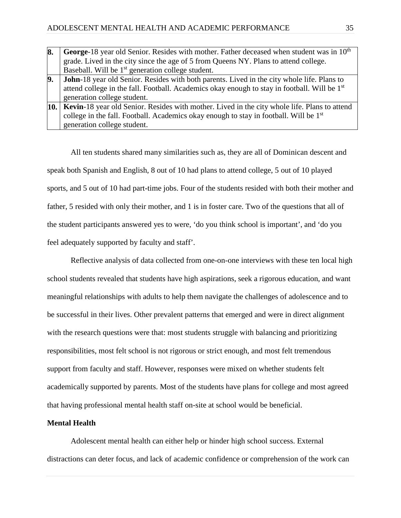| 8. | George-18 year old Senior. Resides with mother. Father deceased when student was in 10 <sup>th</sup>     |
|----|----------------------------------------------------------------------------------------------------------|
|    | grade. Lived in the city since the age of 5 from Queens NY. Plans to attend college.                     |
|    | Baseball. Will be 1 <sup>st</sup> generation college student.                                            |
| 9. | <b>John</b> -18 year old Senior. Resides with both parents. Lived in the city whole life. Plans to       |
|    | attend college in the fall. Football. Academics okay enough to stay in football. Will be 1 <sup>st</sup> |
|    | generation college student.                                                                              |
|    | <b>10.</b> Kevin-18 year old Senior. Resides with mother. Lived in the city whole life. Plans to attend  |
|    | college in the fall. Football. Academics okay enough to stay in football. Will be 1 <sup>st</sup>        |
|    | generation college student.                                                                              |

All ten students shared many similarities such as, they are all of Dominican descent and speak both Spanish and English, 8 out of 10 had plans to attend college, 5 out of 10 played sports, and 5 out of 10 had part-time jobs. Four of the students resided with both their mother and father, 5 resided with only their mother, and 1 is in foster care. Two of the questions that all of the student participants answered yes to were, 'do you think school is important', and 'do you feel adequately supported by faculty and staff'.

Reflective analysis of data collected from one-on-one interviews with these ten local high school students revealed that students have high aspirations, seek a rigorous education, and want meaningful relationships with adults to help them navigate the challenges of adolescence and to be successful in their lives. Other prevalent patterns that emerged and were in direct alignment with the research questions were that: most students struggle with balancing and prioritizing responsibilities, most felt school is not rigorous or strict enough, and most felt tremendous support from faculty and staff. However, responses were mixed on whether students felt academically supported by parents. Most of the students have plans for college and most agreed that having professional mental health staff on-site at school would be beneficial.

#### **Mental Health**

Adolescent mental health can either help or hinder high school success. External distractions can deter focus, and lack of academic confidence or comprehension of the work can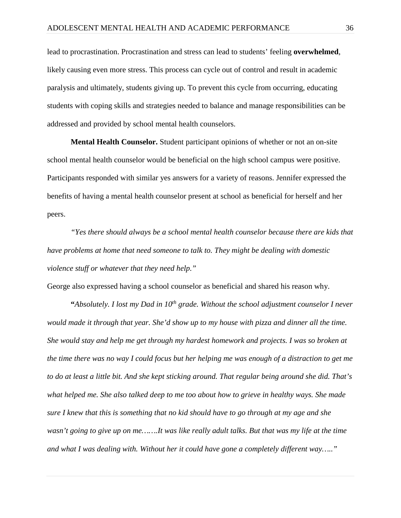lead to procrastination. Procrastination and stress can lead to students' feeling **overwhelmed**, likely causing even more stress. This process can cycle out of control and result in academic paralysis and ultimately, students giving up. To prevent this cycle from occurring, educating students with coping skills and strategies needed to balance and manage responsibilities can be addressed and provided by school mental health counselors.

**Mental Health Counselor.** Student participant opinions of whether or not an on-site school mental health counselor would be beneficial on the high school campus were positive. Participants responded with similar yes answers for a variety of reasons. Jennifer expressed the benefits of having a mental health counselor present at school as beneficial for herself and her peers.

*"Yes there should always be a school mental health counselor because there are kids that have problems at home that need someone to talk to. They might be dealing with domestic violence stuff or whatever that they need help."* 

George also expressed having a school counselor as beneficial and shared his reason why.

**"***Absolutely. I lost my Dad in 10<sup>th</sup> grade. Without the school adjustment counselor I never would made it through that year. She'd show up to my house with pizza and dinner all the time. She would stay and help me get through my hardest homework and projects. I was so broken at the time there was no way I could focus but her helping me was enough of a distraction to get me to do at least a little bit. And she kept sticking around. That regular being around she did. That's what helped me. She also talked deep to me too about how to grieve in healthy ways. She made sure I knew that this is something that no kid should have to go through at my age and she wasn't going to give up on me…….It was like really adult talks. But that was my life at the time and what I was dealing with. Without her it could have gone a completely different way….."*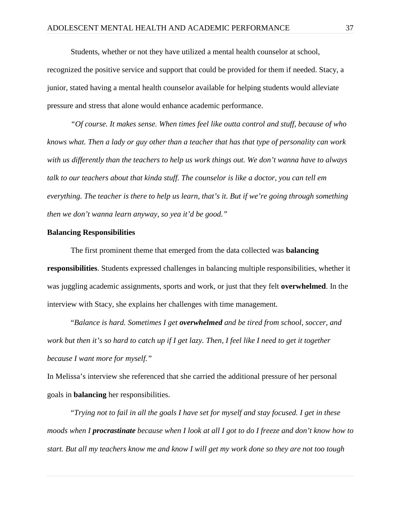Students, whether or not they have utilized a mental health counselor at school, recognized the positive service and support that could be provided for them if needed. Stacy, a junior, stated having a mental health counselor available for helping students would alleviate pressure and stress that alone would enhance academic performance.

*"Of course. It makes sense. When times feel like outta control and stuff, because of who knows what. Then a lady or guy other than a teacher that has that type of personality can work with us differently than the teachers to help us work things out. We don't wanna have to always talk to our teachers about that kinda stuff. The counselor is like a doctor, you can tell em everything. The teacher is there to help us learn, that's it. But if we're going through something then we don't wanna learn anyway, so yea it'd be good."*

#### **Balancing Responsibilities**

The first prominent theme that emerged from the data collected was **balancing responsibilities**. Students expressed challenges in balancing multiple responsibilities, whether it was juggling academic assignments, sports and work, or just that they felt **overwhelmed**. In the interview with Stacy, she explains her challenges with time management.

"*Balance is hard. Sometimes I get overwhelmed and be tired from school, soccer, and work but then it's so hard to catch up if I get lazy. Then, I feel like I need to get it together because I want more for myself."*

In Melissa's interview she referenced that she carried the additional pressure of her personal goals in **balancing** her responsibilities.

"*Trying not to fail in all the goals I have set for myself and stay focused. I get in these moods when I procrastinate because when I look at all I got to do I freeze and don't know how to start. But all my teachers know me and know I will get my work done so they are not too tough*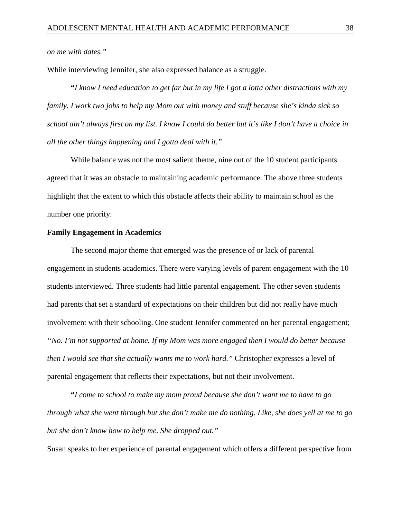*on me with dates."*

While interviewing Jennifer, she also expressed balance as a struggle.

**"***I know I need education to get far but in my life I got a lotta other distractions with my family. I work two jobs to help my Mom out with money and stuff because she's kinda sick so school ain't always first on my list. I know I could do better but it's like I don't have a choice in all the other things happening and I gotta deal with it."*

While balance was not the most salient theme, nine out of the 10 student participants agreed that it was an obstacle to maintaining academic performance. The above three students highlight that the extent to which this obstacle affects their ability to maintain school as the number one priority.

#### **Family Engagement in Academics**

The second major theme that emerged was the presence of or lack of parental engagement in students academics. There were varying levels of parent engagement with the 10 students interviewed. Three students had little parental engagement. The other seven students had parents that set a standard of expectations on their children but did not really have much involvement with their schooling. One student Jennifer commented on her parental engagement; *"No. I'm not supported at home. If my Mom was more engaged then I would do better because then I would see that she actually wants me to work hard.*" Christopher expresses a level of parental engagement that reflects their expectations, but not their involvement.

**"***I come to school to make my mom proud because she don't want me to have to go through what she went through but she don't make me do nothing. Like, she does yell at me to go but she don't know how to help me. She dropped out."*

Susan speaks to her experience of parental engagement which offers a different perspective from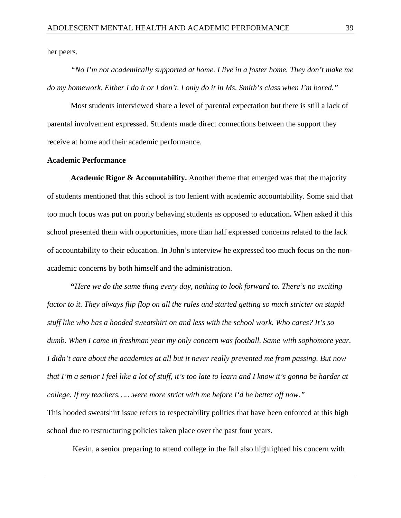her peers.

*"No I'm not academically supported at home. I live in a foster home. They don't make me do my homework. Either I do it or I don't. I only do it in Ms. Smith's class when I'm bored."* 

Most students interviewed share a level of parental expectation but there is still a lack of parental involvement expressed. Students made direct connections between the support they receive at home and their academic performance.

## **Academic Performance**

**Academic Rigor & Accountability.** Another theme that emerged was that the majority of students mentioned that this school is too lenient with academic accountability. Some said that too much focus was put on poorly behaving students as opposed to education**.** When asked if this school presented them with opportunities, more than half expressed concerns related to the lack of accountability to their education. In John's interview he expressed too much focus on the nonacademic concerns by both himself and the administration.

**"***Here we do the same thing every day, nothing to look forward to. There's no exciting factor to it. They always flip flop on all the rules and started getting so much stricter on stupid stuff like who has a hooded sweatshirt on and less with the school work. Who cares? It's so dumb. When I came in freshman year my only concern was football. Same with sophomore year. I didn't care about the academics at all but it never really prevented me from passing. But now that I'm a senior I feel like a lot of stuff, it's too late to learn and I know it's gonna be harder at college. If my teachers……were more strict with me before I'd be better off now."*

This hooded sweatshirt issue refers to respectability politics that have been enforced at this high school due to restructuring policies taken place over the past four years.

Kevin, a senior preparing to attend college in the fall also highlighted his concern with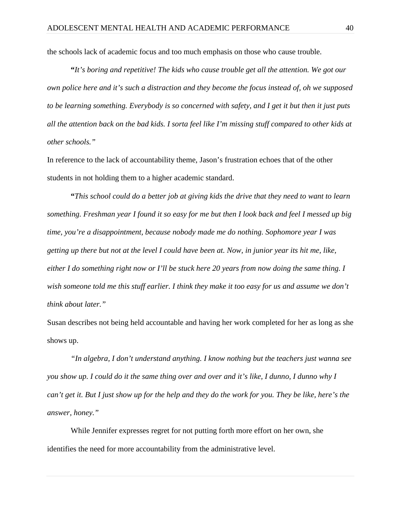the schools lack of academic focus and too much emphasis on those who cause trouble.

**"***It's boring and repetitive! The kids who cause trouble get all the attention. We got our own police here and it's such a distraction and they become the focus instead of, oh we supposed to be learning something. Everybody is so concerned with safety, and I get it but then it just puts all the attention back on the bad kids. I sorta feel like I'm missing stuff compared to other kids at other schools."* 

In reference to the lack of accountability theme, Jason's frustration echoes that of the other students in not holding them to a higher academic standard.

**"***This school could do a better job at giving kids the drive that they need to want to learn something. Freshman year I found it so easy for me but then I look back and feel I messed up big time, you're a disappointment, because nobody made me do nothing. Sophomore year I was getting up there but not at the level I could have been at. Now, in junior year its hit me, like, either I do something right now or I'll be stuck here 20 years from now doing the same thing. I wish someone told me this stuff earlier. I think they make it too easy for us and assume we don't think about later."*

Susan describes not being held accountable and having her work completed for her as long as she shows up.

*"In algebra, I don't understand anything. I know nothing but the teachers just wanna see you show up. I could do it the same thing over and over and it's like, I dunno, I dunno why I can't get it. But I just show up for the help and they do the work for you. They be like, here's the answer, honey."*

While Jennifer expresses regret for not putting forth more effort on her own, she identifies the need for more accountability from the administrative level.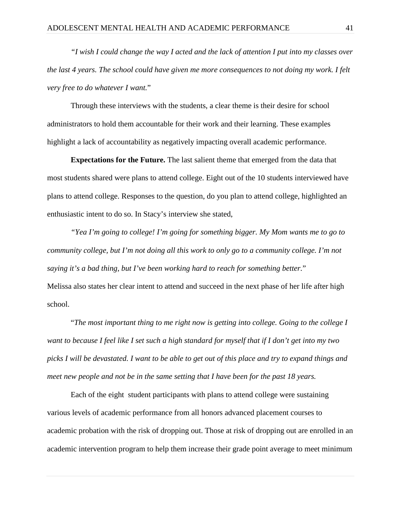*"I wish I could change the way I acted and the lack of attention I put into my classes over the last 4 years. The school could have given me more consequences to not doing my work. I felt very free to do whatever I want.*"

Through these interviews with the students, a clear theme is their desire for school administrators to hold them accountable for their work and their learning. These examples highlight a lack of accountability as negatively impacting overall academic performance.

**Expectations for the Future.** The last salient theme that emerged from the data that most students shared were plans to attend college. Eight out of the 10 students interviewed have plans to attend college. Responses to the question, do you plan to attend college, highlighted an enthusiastic intent to do so. In Stacy's interview she stated,

*"Yea I'm going to college! I'm going for something bigger. My Mom wants me to go to community college, but I'm not doing all this work to only go to a community college. I'm not saying it's a bad thing, but I've been working hard to reach for something better.*" Melissa also states her clear intent to attend and succeed in the next phase of her life after high school.

"*The most important thing to me right now is getting into college. Going to the college I want to because I feel like I set such a high standard for myself that if I don't get into my two picks I will be devastated. I want to be able to get out of this place and try to expand things and meet new people and not be in the same setting that I have been for the past 18 years.* 

Each of the eight student participants with plans to attend college were sustaining various levels of academic performance from all honors advanced placement courses to academic probation with the risk of dropping out. Those at risk of dropping out are enrolled in an academic intervention program to help them increase their grade point average to meet minimum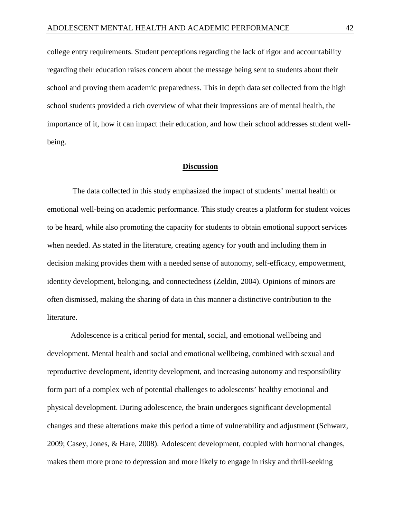college entry requirements. Student perceptions regarding the lack of rigor and accountability regarding their education raises concern about the message being sent to students about their school and proving them academic preparedness. This in depth data set collected from the high school students provided a rich overview of what their impressions are of mental health, the importance of it, how it can impact their education, and how their school addresses student wellbeing.

#### **Discussion**

The data collected in this study emphasized the impact of students' mental health or emotional well-being on academic performance. This study creates a platform for student voices to be heard, while also promoting the capacity for students to obtain emotional support services when needed. As stated in the literature, creating agency for youth and including them in decision making provides them with a needed sense of autonomy, self-efficacy, empowerment, identity development, belonging, and connectedness (Zeldin, 2004). Opinions of minors are often dismissed, making the sharing of data in this manner a distinctive contribution to the literature.

Adolescence is a critical period for mental, social, and emotional wellbeing and development. Mental health and social and emotional wellbeing, combined with sexual and reproductive development, identity development, and increasing autonomy and responsibility form part of a complex web of potential challenges to adolescents' healthy emotional and physical development. During adolescence, the brain undergoes significant developmental changes and these alterations make this period a time of vulnerability and adjustment (Schwarz, 2009; Casey, Jones, & Hare, 2008). Adolescent development, coupled with hormonal changes, makes them more prone to depression and more likely to engage in risky and thrill-seeking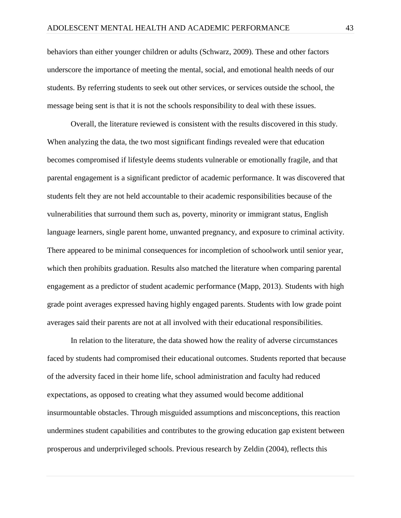behaviors than either younger children or adults (Schwarz, 2009). These and other factors underscore the importance of meeting the mental, social, and emotional health needs of our students. By referring students to seek out other services, or services outside the school, the message being sent is that it is not the schools responsibility to deal with these issues.

Overall, the literature reviewed is consistent with the results discovered in this study. When analyzing the data, the two most significant findings revealed were that education becomes compromised if lifestyle deems students vulnerable or emotionally fragile, and that parental engagement is a significant predictor of academic performance. It was discovered that students felt they are not held accountable to their academic responsibilities because of the vulnerabilities that surround them such as, poverty, minority or immigrant status, English language learners, single parent home, unwanted pregnancy, and exposure to criminal activity. There appeared to be minimal consequences for incompletion of schoolwork until senior year, which then prohibits graduation. Results also matched the literature when comparing parental engagement as a predictor of student academic performance (Mapp, 2013). Students with high grade point averages expressed having highly engaged parents. Students with low grade point averages said their parents are not at all involved with their educational responsibilities.

In relation to the literature, the data showed how the reality of adverse circumstances faced by students had compromised their educational outcomes. Students reported that because of the adversity faced in their home life, school administration and faculty had reduced expectations, as opposed to creating what they assumed would become additional insurmountable obstacles. Through misguided assumptions and misconceptions, this reaction undermines student capabilities and contributes to the growing education gap existent between prosperous and underprivileged schools. Previous research by Zeldin (2004), reflects this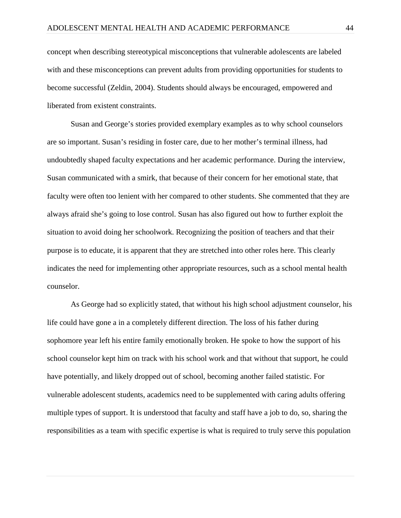concept when describing stereotypical misconceptions that vulnerable adolescents are labeled with and these misconceptions can prevent adults from providing opportunities for students to become successful (Zeldin, 2004). Students should always be encouraged, empowered and liberated from existent constraints.

Susan and George's stories provided exemplary examples as to why school counselors are so important. Susan's residing in foster care, due to her mother's terminal illness, had undoubtedly shaped faculty expectations and her academic performance. During the interview, Susan communicated with a smirk, that because of their concern for her emotional state, that faculty were often too lenient with her compared to other students. She commented that they are always afraid she's going to lose control. Susan has also figured out how to further exploit the situation to avoid doing her schoolwork. Recognizing the position of teachers and that their purpose is to educate, it is apparent that they are stretched into other roles here. This clearly indicates the need for implementing other appropriate resources, such as a school mental health counselor.

As George had so explicitly stated, that without his high school adjustment counselor, his life could have gone a in a completely different direction. The loss of his father during sophomore year left his entire family emotionally broken. He spoke to how the support of his school counselor kept him on track with his school work and that without that support, he could have potentially, and likely dropped out of school, becoming another failed statistic. For vulnerable adolescent students, academics need to be supplemented with caring adults offering multiple types of support. It is understood that faculty and staff have a job to do, so, sharing the responsibilities as a team with specific expertise is what is required to truly serve this population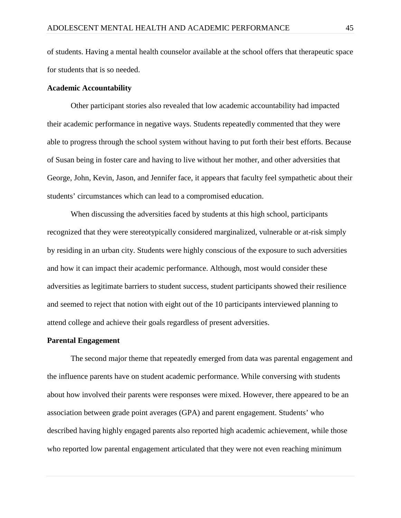of students. Having a mental health counselor available at the school offers that therapeutic space for students that is so needed.

#### **Academic Accountability**

Other participant stories also revealed that low academic accountability had impacted their academic performance in negative ways. Students repeatedly commented that they were able to progress through the school system without having to put forth their best efforts. Because of Susan being in foster care and having to live without her mother, and other adversities that George, John, Kevin, Jason, and Jennifer face, it appears that faculty feel sympathetic about their students' circumstances which can lead to a compromised education.

When discussing the adversities faced by students at this high school, participants recognized that they were stereotypically considered marginalized, vulnerable or at-risk simply by residing in an urban city. Students were highly conscious of the exposure to such adversities and how it can impact their academic performance. Although, most would consider these adversities as legitimate barriers to student success, student participants showed their resilience and seemed to reject that notion with eight out of the 10 participants interviewed planning to attend college and achieve their goals regardless of present adversities.

### **Parental Engagement**

The second major theme that repeatedly emerged from data was parental engagement and the influence parents have on student academic performance. While conversing with students about how involved their parents were responses were mixed. However, there appeared to be an association between grade point averages (GPA) and parent engagement. Students' who described having highly engaged parents also reported high academic achievement, while those who reported low parental engagement articulated that they were not even reaching minimum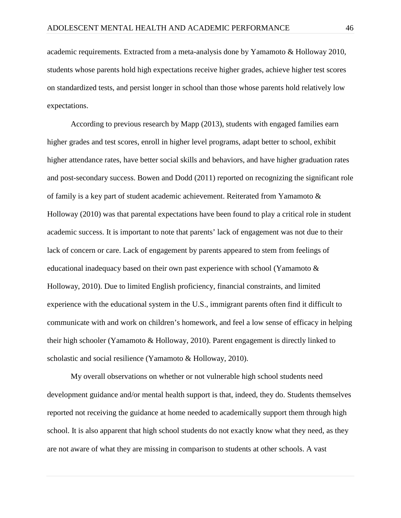academic requirements. Extracted from a meta-analysis done by Yamamoto & Holloway 2010, students whose parents hold high expectations receive higher grades, achieve higher test scores on standardized tests, and persist longer in school than those whose parents hold relatively low expectations.

According to previous research by Mapp (2013), students with engaged families earn higher grades and test scores, enroll in higher level programs, adapt better to school, exhibit higher attendance rates, have better social skills and behaviors, and have higher graduation rates and post-secondary success. Bowen and Dodd (2011) reported on recognizing the significant role of family is a key part of student academic achievement. Reiterated from Yamamoto & Holloway (2010) was that parental expectations have been found to play a critical role in student academic success. It is important to note that parents' lack of engagement was not due to their lack of concern or care. Lack of engagement by parents appeared to stem from feelings of educational inadequacy based on their own past experience with school (Yamamoto & Holloway, 2010). Due to limited English proficiency, financial constraints, and limited experience with the educational system in the U.S., immigrant parents often find it difficult to communicate with and work on children's homework, and feel a low sense of efficacy in helping their high schooler (Yamamoto & Holloway, 2010). Parent engagement is directly linked to scholastic and social resilience (Yamamoto & Holloway, 2010).

My overall observations on whether or not vulnerable high school students need development guidance and/or mental health support is that, indeed, they do. Students themselves reported not receiving the guidance at home needed to academically support them through high school. It is also apparent that high school students do not exactly know what they need, as they are not aware of what they are missing in comparison to students at other schools. A vast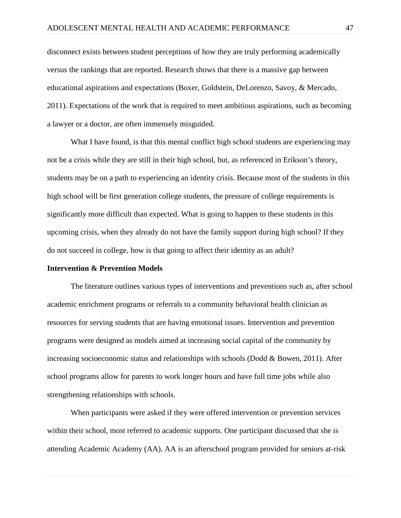disconnect exists between student perceptions of how they are truly performing academically versus the rankings that are reported. Research shows that there is a massive gap between educational aspirations and expectations (Boxer, Goldstein, DeLorenzo, Savoy, & Mercado, 2011). Expectations of the work that is required to meet ambitious aspirations, such as becoming a lawyer or a doctor, are often immensely misguided.

What I have found, is that this mental conflict high school students are experiencing may not be a crisis while they are still in their high school, but, as referenced in Erikson's theory, students may be on a path to experiencing an identity crisis. Because most of the students in this high school will be first generation college students, the pressure of college requirements is significantly more difficult than expected. What is going to happen to these students in this upcoming crisis, when they already do not have the family support during high school? If they do not succeed in college, how is that going to affect their identity as an adult?

#### **Intervention & Prevention Models**

The literature outlines various types of interventions and preventions such as, after school academic enrichment programs or referrals to a community behavioral health clinician as resources for serving students that are having emotional issues. Intervention and prevention programs were designed as models aimed at increasing social capital of the community by increasing socioeconomic status and relationships with schools (Dodd & Bowen, 2011). After school programs allow for parents to work longer hours and have full time jobs while also strengthening relationships with schools.

When participants were asked if they were offered intervention or prevention services within their school, most referred to academic supports. One participant discussed that she is attending Academic Academy (AA). AA is an afterschool program provided for seniors at-risk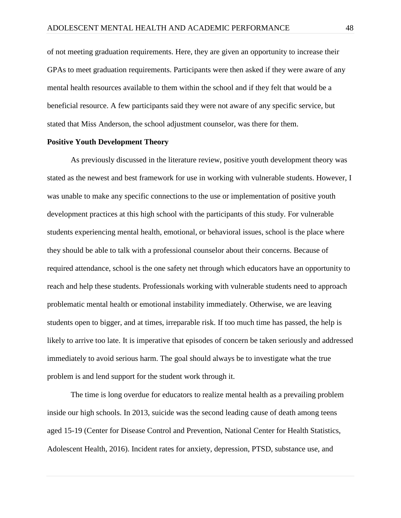of not meeting graduation requirements. Here, they are given an opportunity to increase their GPAs to meet graduation requirements. Participants were then asked if they were aware of any mental health resources available to them within the school and if they felt that would be a beneficial resource. A few participants said they were not aware of any specific service, but stated that Miss Anderson, the school adjustment counselor, was there for them.

#### **Positive Youth Development Theory**

As previously discussed in the literature review, positive youth development theory was stated as the newest and best framework for use in working with vulnerable students. However, I was unable to make any specific connections to the use or implementation of positive youth development practices at this high school with the participants of this study. For vulnerable students experiencing mental health, emotional, or behavioral issues, school is the place where they should be able to talk with a professional counselor about their concerns. Because of required attendance, school is the one safety net through which educators have an opportunity to reach and help these students. Professionals working with vulnerable students need to approach problematic mental health or emotional instability immediately. Otherwise, we are leaving students open to bigger, and at times, irreparable risk. If too much time has passed, the help is likely to arrive too late. It is imperative that episodes of concern be taken seriously and addressed immediately to avoid serious harm. The goal should always be to investigate what the true problem is and lend support for the student work through it.

The time is long overdue for educators to realize mental health as a prevailing problem inside our high schools. In 2013, suicide was the second leading cause of death among teens aged 15-19 (Center for Disease Control and Prevention, National Center for Health Statistics, Adolescent Health, 2016). Incident rates for anxiety, depression, PTSD, substance use, and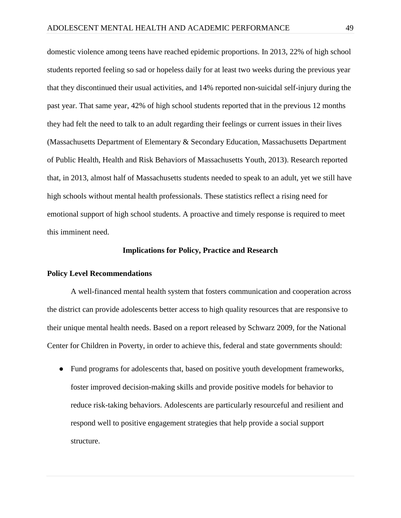domestic violence among teens have reached epidemic proportions. In 2013, 22% of high school students reported feeling so sad or hopeless daily for at least two weeks during the previous year that they discontinued their usual activities, and 14% reported non-suicidal self-injury during the past year. That same year, 42% of high school students reported that in the previous 12 months they had felt the need to talk to an adult regarding their feelings or current issues in their lives (Massachusetts Department of Elementary & Secondary Education, Massachusetts Department of Public Health, Health and Risk Behaviors of Massachusetts Youth, 2013). Research reported that, in 2013, almost half of Massachusetts students needed to speak to an adult, yet we still have high schools without mental health professionals. These statistics reflect a rising need for emotional support of high school students. A proactive and timely response is required to meet this imminent need.

#### **Implications for Policy, Practice and Research**

### **Policy Level Recommendations**

A well-financed mental health system that fosters communication and cooperation across the district can provide adolescents better access to high quality resources that are responsive to their unique mental health needs. Based on a report released by Schwarz 2009, for the National Center for Children in Poverty, in order to achieve this, federal and state governments should:

● Fund programs for adolescents that, based on positive youth development frameworks, foster improved decision-making skills and provide positive models for behavior to reduce risk-taking behaviors. Adolescents are particularly resourceful and resilient and respond well to positive engagement strategies that help provide a social support structure.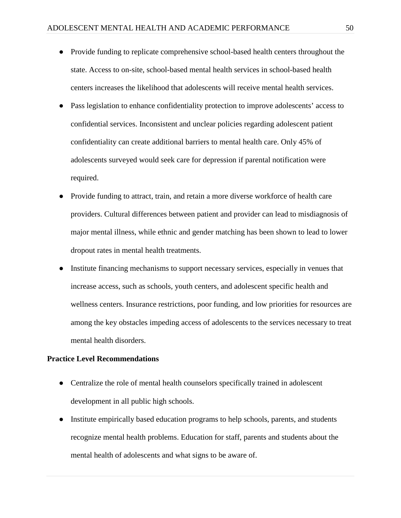- Provide funding to replicate comprehensive school-based health centers throughout the state. Access to on-site, school-based mental health services in school-based health centers increases the likelihood that adolescents will receive mental health services.
- Pass legislation to enhance confidentiality protection to improve adolescents' access to confidential services. Inconsistent and unclear policies regarding adolescent patient confidentiality can create additional barriers to mental health care. Only 45% of adolescents surveyed would seek care for depression if parental notification were required.
- Provide funding to attract, train, and retain a more diverse workforce of health care providers. Cultural differences between patient and provider can lead to misdiagnosis of major mental illness, while ethnic and gender matching has been shown to lead to lower dropout rates in mental health treatments.
- Institute financing mechanisms to support necessary services, especially in venues that increase access, such as schools, youth centers, and adolescent specific health and wellness centers. Insurance restrictions, poor funding, and low priorities for resources are among the key obstacles impeding access of adolescents to the services necessary to treat mental health disorders.

### **Practice Level Recommendations**

- Centralize the role of mental health counselors specifically trained in adolescent development in all public high schools.
- Institute empirically based education programs to help schools, parents, and students recognize mental health problems. Education for staff, parents and students about the mental health of adolescents and what signs to be aware of.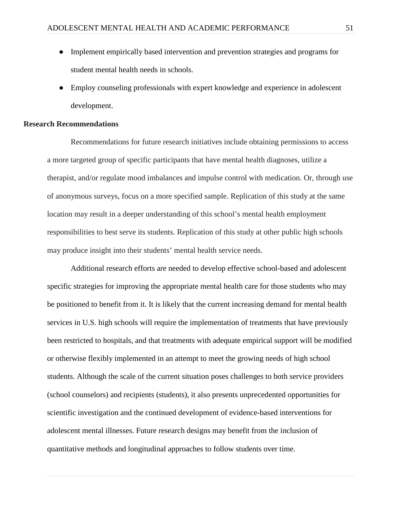- Implement empirically based intervention and prevention strategies and programs for student mental health needs in schools.
- Employ counseling professionals with expert knowledge and experience in adolescent development.

#### **Research Recommendations**

Recommendations for future research initiatives include obtaining permissions to access a more targeted group of specific participants that have mental health diagnoses, utilize a therapist, and/or regulate mood imbalances and impulse control with medication. Or, through use of anonymous surveys, focus on a more specified sample. Replication of this study at the same location may result in a deeper understanding of this school's mental health employment responsibilities to best serve its students. Replication of this study at other public high schools may produce insight into their students' mental health service needs.

Additional research efforts are needed to develop effective school-based and adolescent specific strategies for improving the appropriate mental health care for those students who may be positioned to benefit from it. It is likely that the current increasing demand for mental health services in U.S. high schools will require the implementation of treatments that have previously been restricted to hospitals, and that treatments with adequate empirical support will be modified or otherwise flexibly implemented in an attempt to meet the growing needs of high school students. Although the scale of the current situation poses challenges to both service providers (school counselors) and recipients (students), it also presents unprecedented opportunities for scientific investigation and the continued development of evidence-based interventions for adolescent mental illnesses. Future research designs may benefit from the inclusion of quantitative methods and longitudinal approaches to follow students over time.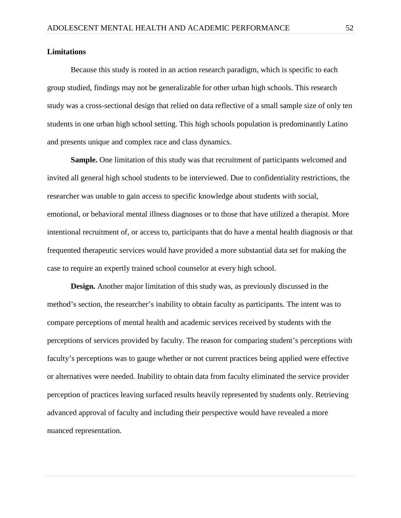#### **Limitations**

Because this study is rooted in an action research paradigm, which is specific to each group studied, findings may not be generalizable for other urban high schools. This research study was a cross-sectional design that relied on data reflective of a small sample size of only ten students in one urban high school setting. This high schools population is predominantly Latino and presents unique and complex race and class dynamics.

**Sample.** One limitation of this study was that recruitment of participants welcomed and invited all general high school students to be interviewed. Due to confidentiality restrictions, the researcher was unable to gain access to specific knowledge about students with social, emotional, or behavioral mental illness diagnoses or to those that have utilized a therapist. More intentional recruitment of, or access to, participants that do have a mental health diagnosis or that frequented therapeutic services would have provided a more substantial data set for making the case to require an expertly trained school counselor at every high school.

**Design.** Another major limitation of this study was, as previously discussed in the method's section, the researcher's inability to obtain faculty as participants. The intent was to compare perceptions of mental health and academic services received by students with the perceptions of services provided by faculty. The reason for comparing student's perceptions with faculty's perceptions was to gauge whether or not current practices being applied were effective or alternatives were needed. Inability to obtain data from faculty eliminated the service provider perception of practices leaving surfaced results heavily represented by students only. Retrieving advanced approval of faculty and including their perspective would have revealed a more nuanced representation.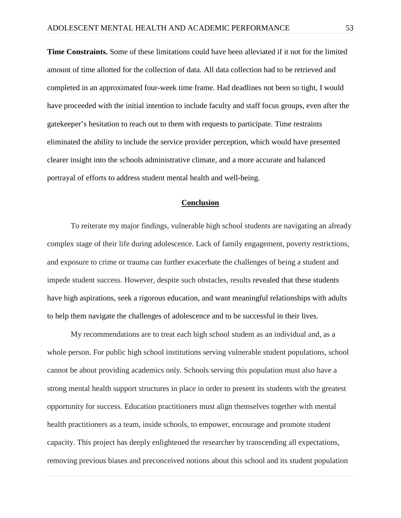**Time Constraints.** Some of these limitations could have been alleviated if it not for the limited amount of time allotted for the collection of data. All data collection had to be retrieved and completed in an approximated four-week time frame. Had deadlines not been so tight, I would have proceeded with the initial intention to include faculty and staff focus groups, even after the gatekeeper's hesitation to reach out to them with requests to participate. Time restraints eliminated the ability to include the service provider perception, which would have presented clearer insight into the schools administrative climate, and a more accurate and balanced portrayal of efforts to address student mental health and well-being.

### **Conclusion**

 To reiterate my major findings, vulnerable high school students are navigating an already complex stage of their life during adolescence. Lack of family engagement, poverty restrictions, and exposure to crime or trauma can further exacerbate the challenges of being a student and impede student success. However, despite such obstacles, results revealed that these students have high aspirations, seek a rigorous education, and want meaningful relationships with adults to help them navigate the challenges of adolescence and to be successful in their lives.

My recommendations are to treat each high school student as an individual and, as a whole person. For public high school institutions serving vulnerable student populations, school cannot be about providing academics only. Schools serving this population must also have a strong mental health support structures in place in order to present its students with the greatest opportunity for success. Education practitioners must align themselves together with mental health practitioners as a team, inside schools, to empower, encourage and promote student capacity. This project has deeply enlightened the researcher by transcending all expectations, removing previous biases and preconceived notions about this school and its student population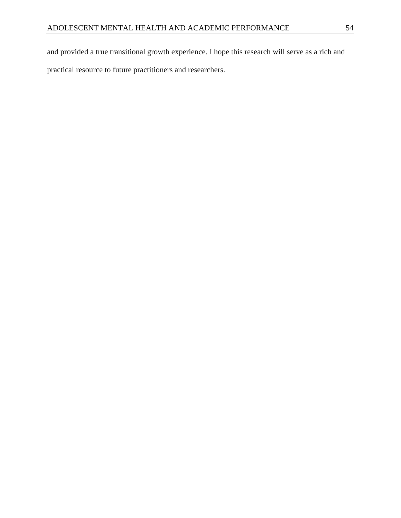and provided a true transitional growth experience. I hope this research will serve as a rich and practical resource to future practitioners and researchers.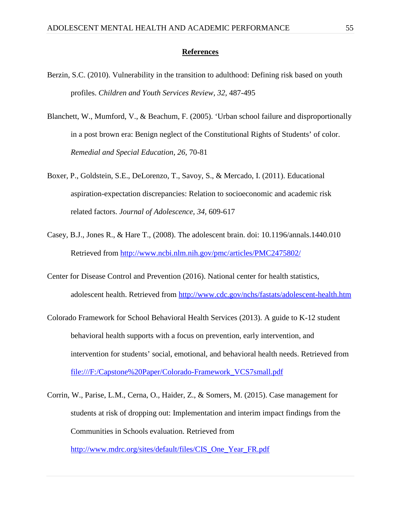### **References**

- Berzin, S.C. (2010). Vulnerability in the transition to adulthood: Defining risk based on youth profiles. *Children and Youth Services Review, 32,* 487-495
- Blanchett, W., Mumford, V., & Beachum, F. (2005). 'Urban school failure and disproportionally in a post brown era: Benign neglect of the Constitutional Rights of Students' of color. *Remedial and Special Education, 26,* 70-81
- Boxer, P., Goldstein, S.E., DeLorenzo, T., Savoy, S., & Mercado, I. (2011). Educational aspiration-expectation discrepancies: Relation to socioeconomic and academic risk related factors. *Journal of Adolescence, 34,* 609-617
- Casey, B.J., Jones R., & Hare T., (2008). The adolescent brain. doi: [10.1196/annals.1440.010](http://dx.doi.org/10.1196%2Fannals.1440.010) Retrieved from<http://www.ncbi.nlm.nih.gov/pmc/articles/PMC2475802/>
- Center for Disease Control and Prevention (2016). National center for health statistics, adolescent health. Retrieved from<http://www.cdc.gov/nchs/fastats/adolescent-health.htm>
- Colorado Framework for School Behavioral Health Services (2013). A guide to K-12 student behavioral health supports with a focus on prevention, early intervention, and intervention for students' social, emotional, and behavioral health needs. Retrieved from [file:///F:/Capstone%20Paper/Colorado-Framework\\_VCS7small.pdf](about:blank)
- Corrin, W., Parise, L.M., Cerna, O., Haider, Z., & Somers, M. (2015). Case management for students at risk of dropping out: Implementation and interim impact findings from the Communities in Schools evaluation. Retrieved from

[http://www.mdrc.org/sites/default/files/CIS\\_One\\_Year\\_FR.pdf](http://www.mdrc.org/sites/default/files/CIS_One_Year_FR.pdf)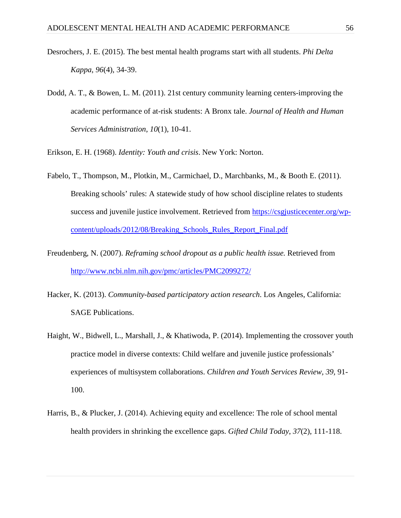- Desrochers, J. E. (2015). The best mental health programs start with all students. *Phi Delta Kappa*, *96*(4), 34-39.
- Dodd, A. T., & Bowen, L. M. (2011). 21st century community learning centers-improving the academic performance of at-risk students: A Bronx tale. *Journal of Health and Human Services Administration*, *10*(1), 10-41.
- Erikson, E. H. (1968). *Identity: Youth and crisis*. New York: Norton.
- Fabelo, T., Thompson, M., Plotkin, M., Carmichael, D., Marchbanks, M., & Booth E. (2011). Breaking schools' rules: A statewide study of how school discipline relates to students success and juvenile justice involvement. Retrieved from [https://csgjusticecenter.org/wp](https://csgjusticecenter.org/wp-content/uploads/2012/08/Breaking_Schools_Rules_Report_Final.pdf)[content/uploads/2012/08/Breaking\\_Schools\\_Rules\\_Report\\_Final.pdf](https://csgjusticecenter.org/wp-content/uploads/2012/08/Breaking_Schools_Rules_Report_Final.pdf)
- Freudenberg, N. (2007). *Reframing school dropout as a public health issue.* Retrieved from <http://www.ncbi.nlm.nih.gov/pmc/articles/PMC2099272/>
- Hacker, K. (2013). *Community-based participatory action research*. Los Angeles, California: SAGE Publications.
- Haight, W., Bidwell, L., Marshall, J., & Khatiwoda, P. (2014). Implementing the crossover youth practice model in diverse contexts: Child welfare and juvenile justice professionals' experiences of multisystem collaborations. *Children and Youth Services Review, 39,* 91- 100.
- Harris, B., & Plucker, J. (2014). Achieving equity and excellence: The role of school mental health providers in shrinking the excellence gaps. *Gifted Child Today*, *37*(2), 111-118.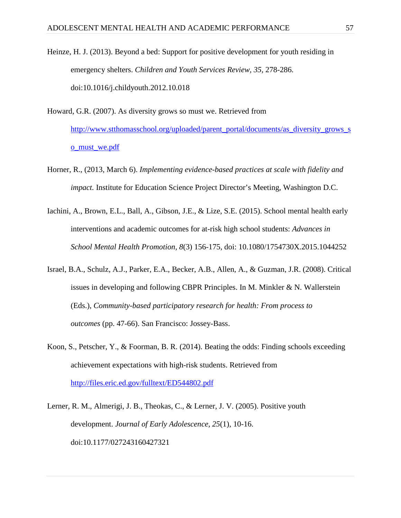Heinze, H. J. (2013). Beyond a bed: Support for positive development for youth residing in emergency shelters. *Children and Youth Services Review, 35,* 278-286. doi:10.1016/j.childyouth.2012.10.018

- Howard, G.R. (2007). As diversity grows so must we. Retrieved from [http://www.stthomasschool.org/uploaded/parent\\_portal/documents/as\\_diversity\\_grows\\_s](http://www.stthomasschool.org/uploaded/parent_portal/documents/as_diversity_grows_so_must_we.pdf) [o\\_must\\_we.pdf](http://www.stthomasschool.org/uploaded/parent_portal/documents/as_diversity_grows_so_must_we.pdf)
- Horner, R., (2013, March 6). *Implementing evidence-based practices at scale with fidelity and impact.* Institute for Education Science Project Director's Meeting, Washington D.C.
- Iachini, A., Brown, E.L., Ball, A., Gibson, J.E., & Lize, S.E. (2015). School mental health early interventions and academic outcomes for at-risk high school students: *Advances in School Mental Health Promotion, 8*(3) 156-175, doi: 10.1080/1754730X.2015.1044252
- Israel, B.A., Schulz, A.J., Parker, E.A., Becker, A.B., Allen, A., & Guzman, J.R. (2008). Critical issues in developing and following CBPR Principles. In M. Minkler & N. Wallerstein (Eds.), *Community-based participatory research for health: From process to outcomes* (pp. 47-66). San Francisco: Jossey-Bass.
- Koon, S., Petscher, Y., & Foorman, B. R. (2014). Beating the odds: Finding schools exceeding achievement expectations with high-risk students. Retrieved from <http://files.eric.ed.gov/fulltext/ED544802.pdf>
- Lerner, R. M., Almerigi, J. B., Theokas, C., & Lerner, J. V. (2005). Positive youth development. *Journal of Early Adolescence, 25*(1), 10-16. doi:10.1177/027243160427321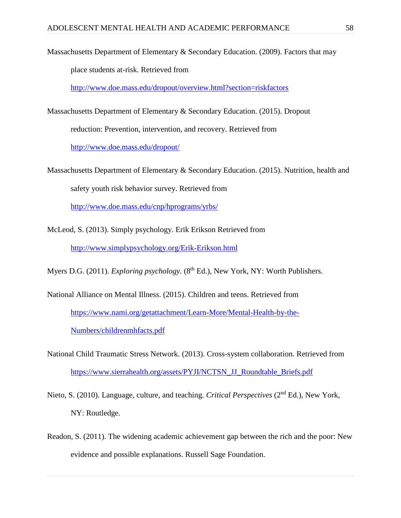Massachusetts Department of Elementary & Secondary Education. (2009). Factors that may

place students at-risk. Retrieved from

<http://www.doe.mass.edu/dropout/overview.html?section=riskfactors>

Massachusetts Department of Elementary & Secondary Education. (2015). Dropout reduction: Prevention, intervention, and recovery. Retrieved from <http://www.doe.mass.edu/dropout/>

Massachusetts Department of Elementary & Secondary Education. (2015). Nutrition, health and safety youth risk behavior survey. Retrieved from

<http://www.doe.mass.edu/cnp/hprograms/yrbs/>

McLeod, S. (2013). Simply psychology. Erik Erikson Retrieved from <http://www.simplypsychology.org/Erik-Erikson.html>

Myers D.G. (2011). *Exploring psychology*. (8<sup>th</sup> Ed.), New York, NY: Worth Publishers.

- National Alliance on Mental Illness. (2015). Children and teens. Retrieved from [https://www.nami.org/getattachment/Learn-More/Mental-Health-by-the-](https://www.nami.org/getattachment/Learn-More/Mental-Health-by-the-Numbers/childrenmhfacts.pdf)[Numbers/childrenmhfacts.pdf](https://www.nami.org/getattachment/Learn-More/Mental-Health-by-the-Numbers/childrenmhfacts.pdf)
- National Child Traumatic Stress Network. (2013). Cross-system collaboration. Retrieved from [https://www.sierrahealth.org/assets/PYJI/NCTSN\\_JJ\\_Roundtable\\_Briefs.pdf](https://www.sierrahealth.org/assets/PYJI/NCTSN_JJ_Roundtable_Briefs.pdf)
- Nieto, S. (2010). Language, culture, and teaching. *Critical Perspectives* (2nd Ed.), New York, NY: Routledge.
- Readon, S. (2011). The widening academic achievement gap between the rich and the poor: New evidence and possible explanations. Russell Sage Foundation.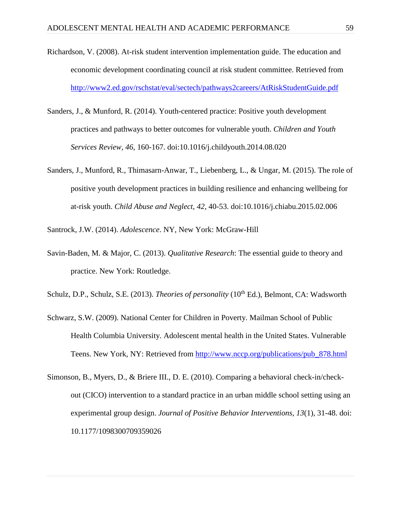- Richardson, V. (2008). At-risk student intervention implementation guide. The education and economic development coordinating council at risk student committee. Retrieved from <http://www2.ed.gov/rschstat/eval/sectech/pathways2careers/AtRiskStudentGuide.pdf>
- Sanders, J., & Munford, R. (2014). Youth-centered practice: Positive youth development practices and pathways to better outcomes for vulnerable youth. *Children and Youth Services Review, 46,* 160-167. doi:10.1016/j.childyouth.2014.08.020
- Sanders, J., Munford, R., Thimasarn-Anwar, T., Liebenberg, L., & Ungar, M. (2015). The role of positive youth development practices in building resilience and enhancing wellbeing for at-risk youth. *Child Abuse and Neglect, 42,* 40-53. doi:10.1016/j.chiabu.2015.02.006

Santrock, J.W. (2014). *Adolescence*. NY, New York: McGraw-Hill

Savin-Baden, M. & Major, C. (2013). *[Qualitative Research](http://www.routledge.com/books/details/9780415674782/)*[: The essential guide to theory and](http://www.routledge.com/books/details/9780415674782/)  [practice.](http://www.routledge.com/books/details/9780415674782/) New York: Routledge.

Schulz, D.P., Schulz, S.E. (2013). *Theories of personality* (10<sup>th</sup> Ed.), Belmont, CA: Wadsworth

- Schwarz, S.W. (2009). National Center for Children in Poverty. Mailman School of Public Health Columbia University. Adolescent mental health in the United States. Vulnerable Teens. New York, NY: Retrieved from [http://www.nccp.org/publications/pub\\_878.html](http://www.nccp.org/publications/pub_878.html)
- Simonson, B., Myers, D., & Briere III., D. E. (2010). Comparing a behavioral check-in/checkout (CICO) intervention to a standard practice in an urban middle school setting using an experimental group design. *Journal of Positive Behavior Interventions, 13*(1), 31-48. doi: 10.1177/1098300709359026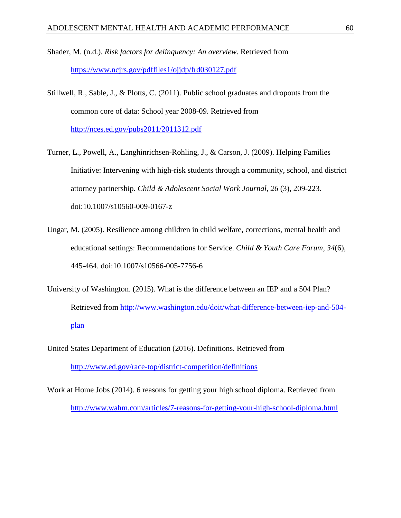Shader, M. (n.d.). *Risk factors for delinquency: An overview.* Retrieved from <https://www.ncjrs.gov/pdffiles1/ojjdp/frd030127.pdf>

- Stillwell, R., Sable, J., & Plotts, C. (2011). Public school graduates and dropouts from the common core of data: School year 2008-09. Retrieved from <http://nces.ed.gov/pubs2011/2011312.pdf>
- Turner, L., Powell, A., Langhinrichsen-Rohling, J., & Carson, J. (2009). Helping Families Initiative: Intervening with high-risk students through a community, school, and district attorney partnership*. Child & Adolescent Social Work Journal, 26* (3), 209-223. doi:10.1007/s10560-009-0167-z
- Ungar, M. (2005). Resilience among children in child welfare, corrections, mental health and educational settings: Recommendations for Service. *Child & Youth Care Forum, 34*(6), 445-464. doi:10.1007/s10566-005-7756-6
- University of Washington. (2015). What is the difference between an IEP and a 504 Plan? Retrieved from [http://www.washington.edu/doit/what-difference-between-iep-and-504](http://www.washington.edu/doit/what-difference-between-iep-and-504-plan) [plan](http://www.washington.edu/doit/what-difference-between-iep-and-504-plan)
- United States Department of Education (2016). Definitions. Retrieved from <http://www.ed.gov/race-top/district-competition/definitions>
- Work at Home Jobs (2014). 6 reasons for getting your high school diploma. Retrieved from <http://www.wahm.com/articles/7-reasons-for-getting-your-high-school-diploma.html>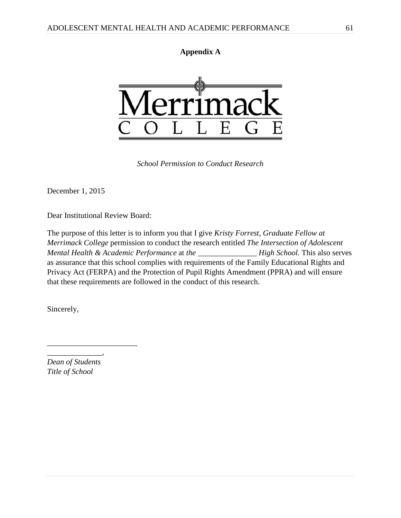



*School Permission to Conduct Research*

December 1, 2015

Dear Institutional Review Board:

The purpose of this letter is to inform you that I give *Kristy Forrest, Graduate Fellow at Merrimack College* permission to conduct the research entitled *The Intersection of Adolescent Mental Health & Academic Performance* at *the \_\_\_\_\_\_\_\_\_\_\_\_\_\_\_ High School.* This also serves as assurance that this school complies with requirements of the Family Educational Rights and Privacy Act (FERPA) and the Protection of Pupil Rights Amendment (PPRA) and will ensure that these requirements are followed in the conduct of this research.

Sincerely,

*Dean of Students Title of School*

*\_\_\_\_\_\_\_\_\_\_\_\_\_\_,* 

*\_\_\_\_\_\_\_\_\_\_\_\_\_\_\_\_\_\_\_\_\_\_\_*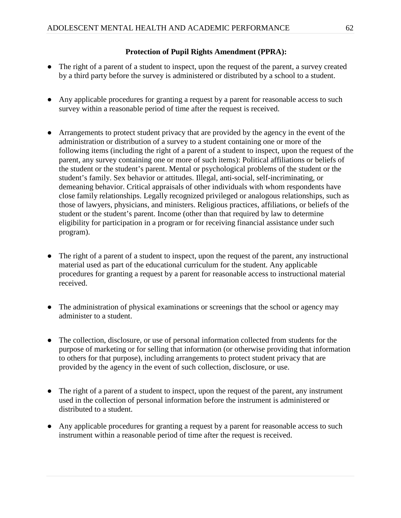# **Protection of Pupil Rights Amendment (PPRA):**

- The right of a parent of a student to inspect, upon the request of the parent, a survey created by a third party before the survey is administered or distributed by a school to a student.
- Any applicable procedures for granting a request by a parent for reasonable access to such survey within a reasonable period of time after the request is received.
- Arrangements to protect student privacy that are provided by the agency in the event of the administration or distribution of a survey to a student containing one or more of the following items (including the right of a parent of a student to inspect, upon the request of the parent, any survey containing one or more of such items): Political affiliations or beliefs of the student or the student's parent. Mental or psychological problems of the student or the student's family. Sex behavior or attitudes. Illegal, anti-social, self-incriminating, or demeaning behavior. Critical appraisals of other individuals with whom respondents have close family relationships. Legally recognized privileged or analogous relationships, such as those of lawyers, physicians, and ministers. Religious practices, affiliations, or beliefs of the student or the student's parent. Income (other than that required by law to determine eligibility for participation in a program or for receiving financial assistance under such program).
- The right of a parent of a student to inspect, upon the request of the parent, any instructional material used as part of the educational curriculum for the student. Any applicable procedures for granting a request by a parent for reasonable access to instructional material received.
- The administration of physical examinations or screenings that the school or agency may administer to a student.
- The collection, disclosure, or use of personal information collected from students for the purpose of marketing or for selling that information (or otherwise providing that information to others for that purpose), including arrangements to protect student privacy that are provided by the agency in the event of such collection, disclosure, or use.
- The right of a parent of a student to inspect, upon the request of the parent, any instrument used in the collection of personal information before the instrument is administered or distributed to a student.
- Any applicable procedures for granting a request by a parent for reasonable access to such instrument within a reasonable period of time after the request is received.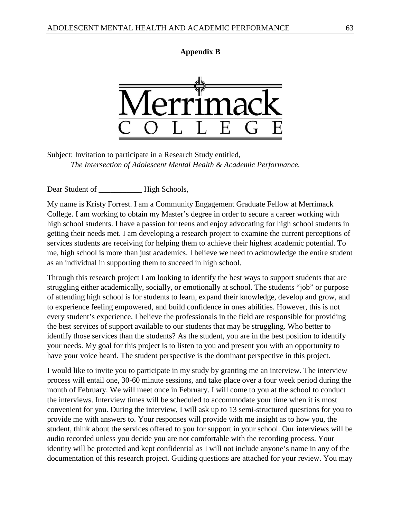# **Appendix B**



Subject: Invitation to participate in a Research Study entitled, *The Intersection of Adolescent Mental Health & Academic Performance.*

Dear Student of **High Schools**,

My name is Kristy Forrest. I am a Community Engagement Graduate Fellow at Merrimack College. I am working to obtain my Master's degree in order to secure a career working with high school students. I have a passion for teens and enjoy advocating for high school students in getting their needs met. I am developing a research project to examine the current perceptions of services students are receiving for helping them to achieve their highest academic potential. To me, high school is more than just academics. I believe we need to acknowledge the entire student as an individual in supporting them to succeed in high school.

Through this research project I am looking to identify the best ways to support students that are struggling either academically, socially, or emotionally at school. The students "job" or purpose of attending high school is for students to learn, expand their knowledge, develop and grow, and to experience feeling empowered, and build confidence in ones abilities. However, this is not every student's experience. I believe the professionals in the field are responsible for providing the best services of support available to our students that may be struggling. Who better to identify those services than the students? As the student, you are in the best position to identify your needs. My goal for this project is to listen to you and present you with an opportunity to have your voice heard. The student perspective is the dominant perspective in this project.

I would like to invite you to participate in my study by granting me an interview. The interview process will entail one, 30-60 minute sessions, and take place over a four week period during the month of February. We will meet once in February. I will come to you at the school to conduct the interviews. Interview times will be scheduled to accommodate your time when it is most convenient for you. During the interview, I will ask up to 13 semi-structured questions for you to provide me with answers to. Your responses will provide with me insight as to how you, the student, think about the services offered to you for support in your school. Our interviews will be audio recorded unless you decide you are not comfortable with the recording process. Your identity will be protected and kept confidential as I will not include anyone's name in any of the documentation of this research project. Guiding questions are attached for your review. You may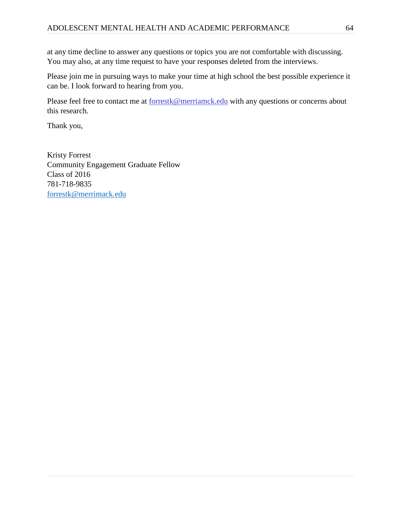at any time decline to answer any questions or topics you are not comfortable with discussing. You may also, at any time request to have your responses deleted from the interviews.

Please join me in pursuing ways to make your time at high school the best possible experience it can be. I look forward to hearing from you.

Please feel free to contact me at [forrestk@merriamck.edu](mailto:forrestk@merriamck.edu) with any questions or concerns about this research.

Thank you,

Kristy Forrest Community Engagement Graduate Fellow Class of 2016 781-718-9835 [forrestk@merrimack.edu](mailto:forrestk@merrimack.edu)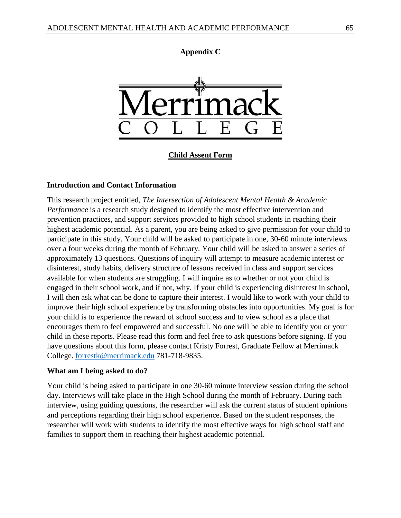# **Appendix C**



**Child Assent Form**

### **Introduction and Contact Information**

This research project entitled, *The Intersection of Adolescent Mental Health & Academic Performance* is a research study designed to identify the most effective intervention and prevention practices, and support services provided to high school students in reaching their highest academic potential. As a parent, you are being asked to give permission for your child to participate in this study. Your child will be asked to participate in one, 30-60 minute interviews over a four weeks during the month of February. Your child will be asked to answer a series of approximately 13 questions. Questions of inquiry will attempt to measure academic interest or disinterest, study habits, delivery structure of lessons received in class and support services available for when students are struggling. I will inquire as to whether or not your child is engaged in their school work, and if not, why. If your child is experiencing disinterest in school, I will then ask what can be done to capture their interest. I would like to work with your child to improve their high school experience by transforming obstacles into opportunities. My goal is for your child is to experience the reward of school success and to view school as a place that encourages them to feel empowered and successful. No one will be able to identify you or your child in these reports. Please read this form and feel free to ask questions before signing. If you have questions about this form, please contact Kristy Forrest, Graduate Fellow at Merrimack College. [forrestk@merrimack.edu](mailto:forrestk@merrimack.edu) 781-718-9835.

### **What am I being asked to do?**

Your child is being asked to participate in one 30-60 minute interview session during the school day. Interviews will take place in the High School during the month of February. During each interview, using guiding questions, the researcher will ask the current status of student opinions and perceptions regarding their high school experience. Based on the student responses, the researcher will work with students to identify the most effective ways for high school staff and families to support them in reaching their highest academic potential.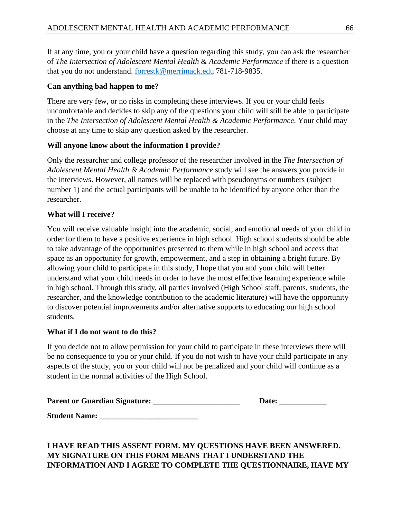If at any time, you or your child have a question regarding this study, you can ask the researcher of *The Intersection of Adolescent Mental Health & Academic Performance* if there is a question that you do not understand. [forrestk@merrimack.edu](mailto:forrestk@merrimack.edu) 781-718-9835.

# **Can anything bad happen to me?**

There are very few, or no risks in completing these interviews. If you or your child feels uncomfortable and decides to skip any of the questions your child will still be able to participate in the *The Intersection of Adolescent Mental Health & Academic Performance*. Your child may choose at any time to skip any question asked by the researcher.

# **Will anyone know about the information I provide?**

Only the researcher and college professor of the researcher involved in the *The Intersection of Adolescent Mental Health & Academic Performance* study will see the answers you provide in the interviews. However, all names will be replaced with pseudonyms or numbers (subject number 1) and the actual participants will be unable to be identified by anyone other than the researcher.

# **What will I receive?**

You will receive valuable insight into the academic, social, and emotional needs of your child in order for them to have a positive experience in high school. High school students should be able to take advantage of the opportunities presented to them while in high school and access that space as an opportunity for growth, empowerment, and a step in obtaining a bright future. By allowing your child to participate in this study, I hope that you and your child will better understand what your child needs in order to have the most effective learning experience while in high school. Through this study, all parties involved (High School staff, parents, students, the researcher, and the knowledge contribution to the academic literature) will have the opportunity to discover potential improvements and/or alternative supports to educating our high school students.

# **What if I do not want to do this?**

If you decide not to allow permission for your child to participate in these interviews there will be no consequence to you or your child. If you do not wish to have your child participate in any aspects of the study, you or your child will not be penalized and your child will continue as a student in the normal activities of the High School.

| <b>Parent or Guardian Signature:</b> | Date: |
|--------------------------------------|-------|
|                                      |       |

**Student Name: \_\_\_\_\_\_\_\_\_\_\_\_\_\_\_\_\_\_\_\_\_\_\_\_\_**

# **I HAVE READ THIS ASSENT FORM. MY QUESTIONS HAVE BEEN ANSWERED. MY SIGNATURE ON THIS FORM MEANS THAT I UNDERSTAND THE INFORMATION AND I AGREE TO COMPLETE THE QUESTIONNAIRE, HAVE MY**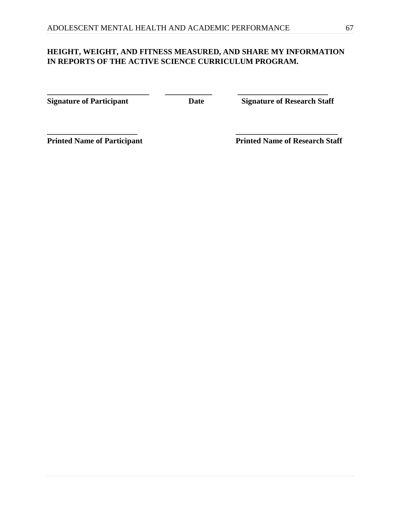# **HEIGHT, WEIGHT, AND FITNESS MEASURED, AND SHARE MY INFORMATION IN REPORTS OF THE ACTIVE SCIENCE CURRICULUM PROGRAM.**

**\_\_\_\_\_\_\_\_\_\_\_\_\_\_\_\_\_\_\_\_\_\_\_ \_\_\_\_\_\_\_\_\_\_\_\_\_\_\_\_\_\_\_\_\_\_\_\_\_\_**

**\_\_\_\_\_\_\_\_\_\_\_\_\_\_\_\_\_\_\_\_\_\_\_\_\_\_ \_\_\_\_\_\_\_\_\_\_\_\_ \_\_\_\_\_\_\_\_\_\_\_\_\_\_\_\_\_\_\_\_\_\_\_** 

**Signature of Participant Date** Date Signature of Research Staff

**Printed Name of Participant Printed Name of Research Staff**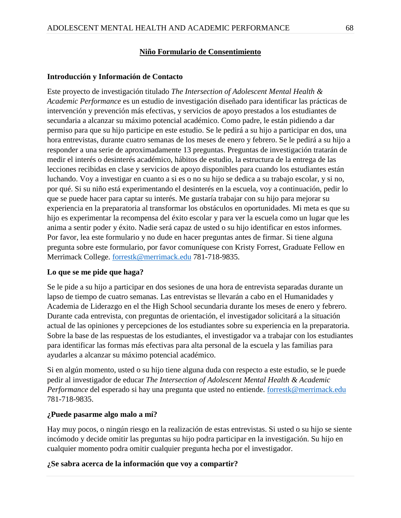## **Niño Formulario de Consentimiento**

## **Introducción y Información de Contacto**

Este proyecto de investigación titulado *The Intersection of Adolescent Mental Health & Academic Performance* es un estudio de investigación diseñado para identificar las prácticas de intervención y prevención más efectivas, y servicios de apoyo prestados a los estudiantes de secundaria a alcanzar su máximo potencial académico. Como padre, le están pidiendo a dar permiso para que su hijo participe en este estudio. Se le pedirá a su hijo a participar en dos, una hora entrevistas, durante cuatro semanas de los meses de enero y febrero. Se le pedirá a su hijo a responder a una serie de aproximadamente 13 preguntas. Preguntas de investigación tratarán de medir el interés o desinterés académico, hábitos de estudio, la estructura de la entrega de las lecciones recibidas en clase y servicios de apoyo disponibles para cuando los estudiantes están luchando. Voy a investigar en cuanto a si es o no su hijo se dedica a su trabajo escolar, y si no, por qué. Si su niño está experimentando el desinterés en la escuela, voy a continuación, pedir lo que se puede hacer para captar su interés. Me gustaría trabajar con su hijo para mejorar su experiencia en la preparatoria al transformar los obstáculos en oportunidades. Mi meta es que su hijo es experimentar la recompensa del éxito escolar y para ver la escuela como un lugar que les anima a sentir poder y éxito. Nadie será capaz de usted o su hijo identificar en estos informes. Por favor, lea este formulario y no dude en hacer preguntas antes de firmar. Si tiene alguna pregunta sobre este formulario, por favor comuníquese con Kristy Forrest, Graduate Fellow en Merrimack College. [forrestk@merrimack.edu](mailto:forrestk@merrimack.edu) 781-718-9835.

## **Lo que se me pide que haga?**

Se le pide a su hijo a participar en dos sesiones de una hora de entrevista separadas durante un lapso de tiempo de cuatro semanas. Las entrevistas se llevarán a cabo en el Humanidades y Academia de Liderazgo en el the High School secundaria durante los meses de enero y febrero. Durante cada entrevista, con preguntas de orientación, el investigador solicitará a la situación actual de las opiniones y percepciones de los estudiantes sobre su experiencia en la preparatoria. Sobre la base de las respuestas de los estudiantes, el investigador va a trabajar con los estudiantes para identificar las formas más efectivas para alta personal de la escuela y las familias para ayudarles a alcanzar su máximo potencial académico.

Si en algún momento, usted o su hijo tiene alguna duda con respecto a este estudio, se le puede pedir al investigador de educar *The Intersection of Adolescent Mental Health & Academic Performance* del esperado si hay una pregunta que usted no entiende. [forrestk@merrimack.edu](mailto:forrestk@merrimack.edu) 781-718-9835.

### **¿Puede pasarme algo malo a mí?**

Hay muy pocos, o ningún riesgo en la realización de estas entrevistas. Si usted o su hijo se siente incómodo y decide omitir las preguntas su hijo podra participar en la investigación. Su hijo en cualquier momento podra omitir cualquier pregunta hecha por el investigador.

## **¿Se sabra acerca de la información que voy a compartir?**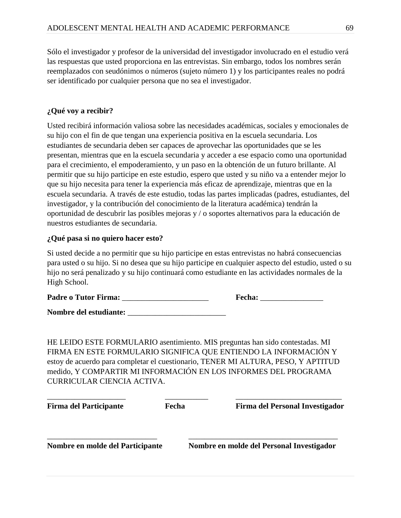Sólo el investigador y profesor de la universidad del investigador involucrado en el estudio verá las respuestas que usted proporciona en las entrevistas. Sin embargo, todos los nombres serán reemplazados con seudónimos o números (sujeto número 1) y los participantes reales no podrá ser identificado por cualquier persona que no sea el investigador.

# **¿Qué voy a recibir?**

Usted recibirá información valiosa sobre las necesidades académicas, sociales y emocionales de su hijo con el fin de que tengan una experiencia positiva en la escuela secundaria. Los estudiantes de secundaria deben ser capaces de aprovechar las oportunidades que se les presentan, mientras que en la escuela secundaria y acceder a ese espacio como una oportunidad para el crecimiento, el empoderamiento, y un paso en la obtención de un futuro brillante. Al permitir que su hijo participe en este estudio, espero que usted y su niño va a entender mejor lo que su hijo necesita para tener la experiencia más eficaz de aprendizaje, mientras que en la escuela secundaria. A través de este estudio, todas las partes implicadas (padres, estudiantes, del investigador, y la contribución del conocimiento de la literatura académica) tendrán la oportunidad de descubrir las posibles mejoras y / o soportes alternativos para la educación de nuestros estudiantes de secundaria.

# **¿Qué pasa si no quiero hacer esto?**

Si usted decide a no permitir que su hijo participe en estas entrevistas no habrá consecuencias para usted o su hijo. Si no desea que su hijo participe en cualquier aspecto del estudio, usted o su hijo no será penalizado y su hijo continuará como estudiante en las actividades normales de la High School.

| <b>Padre o Tutor Firma:</b> | <b>Fecha:</b> |
|-----------------------------|---------------|
|-----------------------------|---------------|

Nombre del estudiante:

HE LEIDO ESTE FORMULARIO asentimiento. MIS preguntas han sido contestadas. MI FIRMA EN ESTE FORMULARIO SIGNIFICA QUE ENTIENDO LA INFORMACIÓN Y estoy de acuerdo para completar el cuestionario, TENER MI ALTURA, PESO, Y APTITUD medido, Y COMPARTIR MI INFORMACIÓN EN LOS INFORMES DEL PROGRAMA CURRICULAR CIENCIA ACTIVA.

| <b>Firma del Participante</b>    | Fecha | Firma del Personal Investigador           |
|----------------------------------|-------|-------------------------------------------|
| Nombre en molde del Participante |       | Nombre en molde del Personal Investigador |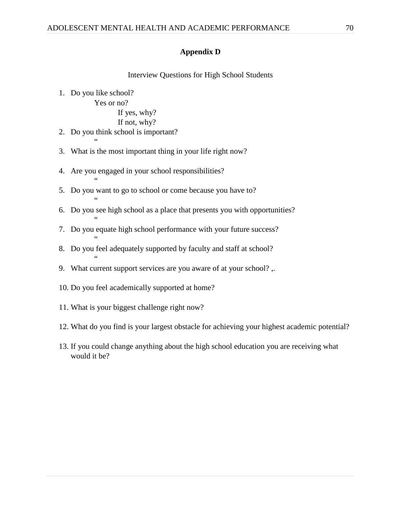## **Appendix D**

### Interview Questions for High School Students

1. Do you like school?

"

"

"

"

"

Yes or no?

#### If yes, why?

```
If not, why?
```
- 2. Do you think school is important?  $\epsilon$
- 3. What is the most important thing in your life right now?
- 4. Are you engaged in your school responsibilities?
- 5. Do you want to go to school or come because you have to?
- 6. Do you see high school as a place that presents you with opportunities?
- 7. Do you equate high school performance with your future success?
- 8. Do you feel adequately supported by faculty and staff at school?
- 9. What current support services are you aware of at your school? ,.
- 10. Do you feel academically supported at home?
- 11. What is your biggest challenge right now?
- 12. What do you find is your largest obstacle for achieving your highest academic potential?
- 13. If you could change anything about the high school education you are receiving what would it be?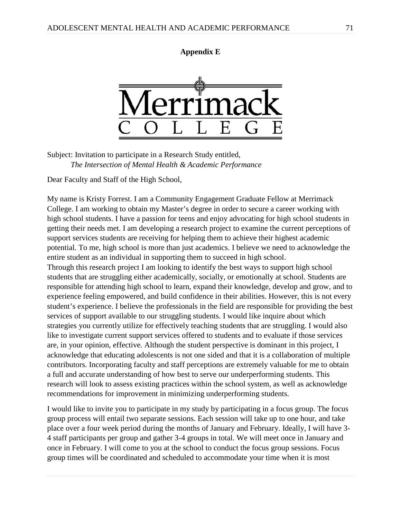## **Appendix E**



Subject: Invitation to participate in a Research Study entitled, *The Intersection of Mental Health & Academic Performance* 

Dear Faculty and Staff of the High School,

My name is Kristy Forrest. I am a Community Engagement Graduate Fellow at Merrimack College. I am working to obtain my Master's degree in order to secure a career working with high school students. I have a passion for teens and enjoy advocating for high school students in getting their needs met. I am developing a research project to examine the current perceptions of support services students are receiving for helping them to achieve their highest academic potential. To me, high school is more than just academics. I believe we need to acknowledge the entire student as an individual in supporting them to succeed in high school. Through this research project I am looking to identify the best ways to support high school students that are struggling either academically, socially, or emotionally at school. Students are responsible for attending high school to learn, expand their knowledge, develop and grow, and to experience feeling empowered, and build confidence in their abilities. However, this is not every student's experience. I believe the professionals in the field are responsible for providing the best

services of support available to our struggling students. I would like inquire about which strategies you currently utilize for effectively teaching students that are struggling. I would also like to investigate current support services offered to students and to evaluate if those services are, in your opinion, effective. Although the student perspective is dominant in this project, I acknowledge that educating adolescents is not one sided and that it is a collaboration of multiple contributors. Incorporating faculty and staff perceptions are extremely valuable for me to obtain a full and accurate understanding of how best to serve our underperforming students. This research will look to assess existing practices within the school system, as well as acknowledge recommendations for improvement in minimizing underperforming students.

I would like to invite you to participate in my study by participating in a focus group. The focus group process will entail two separate sessions. Each session will take up to one hour, and take place over a four week period during the months of January and February. Ideally, I will have 3- 4 staff participants per group and gather 3-4 groups in total. We will meet once in January and once in February. I will come to you at the school to conduct the focus group sessions. Focus group times will be coordinated and scheduled to accommodate your time when it is most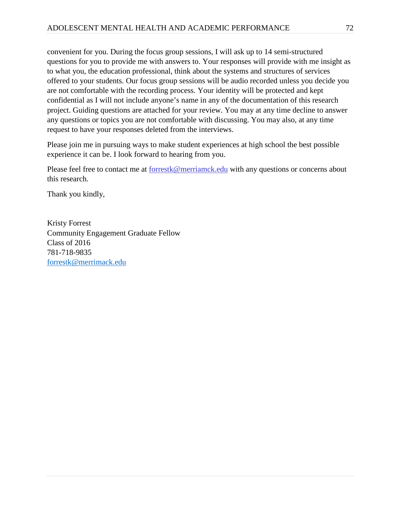convenient for you. During the focus group sessions, I will ask up to 14 semi-structured questions for you to provide me with answers to. Your responses will provide with me insight as to what you, the education professional, think about the systems and structures of services offered to your students. Our focus group sessions will be audio recorded unless you decide you are not comfortable with the recording process. Your identity will be protected and kept confidential as I will not include anyone's name in any of the documentation of this research project. Guiding questions are attached for your review. You may at any time decline to answer any questions or topics you are not comfortable with discussing. You may also, at any time request to have your responses deleted from the interviews.

Please join me in pursuing ways to make student experiences at high school the best possible experience it can be. I look forward to hearing from you.

Please feel free to contact me at [forrestk@merriamck.edu](mailto:forrestk@merriamck.edu) with any questions or concerns about this research.

Thank you kindly,

Kristy Forrest Community Engagement Graduate Fellow Class of 2016 781-718-9835 [forrestk@merrimack.edu](mailto:forrestk@merrimack.edu)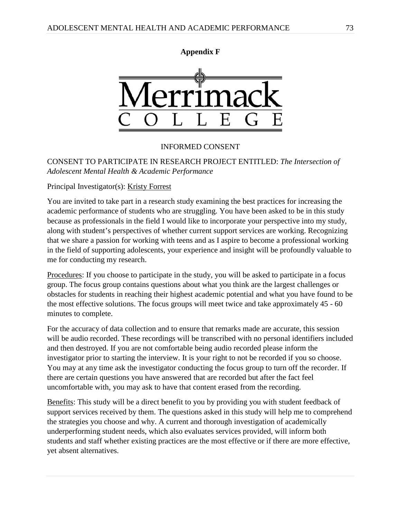



## INFORMED CONSENT

## CONSENT TO PARTICIPATE IN RESEARCH PROJECT ENTITLED: *The Intersection of Adolescent Mental Health & Academic Performance*

Principal Investigator(s): Kristy Forrest

You are invited to take part in a research study examining the best practices for increasing the academic performance of students who are struggling. You have been asked to be in this study because as professionals in the field I would like to incorporate your perspective into my study, along with student's perspectives of whether current support services are working. Recognizing that we share a passion for working with teens and as I aspire to become a professional working in the field of supporting adolescents, your experience and insight will be profoundly valuable to me for conducting my research.

Procedures: If you choose to participate in the study, you will be asked to participate in a focus group. The focus group contains questions about what you think are the largest challenges or obstacles for students in reaching their highest academic potential and what you have found to be the most effective solutions. The focus groups will meet twice and take approximately 45 - 60 minutes to complete.

For the accuracy of data collection and to ensure that remarks made are accurate, this session will be audio recorded. These recordings will be transcribed with no personal identifiers included and then destroyed. If you are not comfortable being audio recorded please inform the investigator prior to starting the interview. It is your right to not be recorded if you so choose. You may at any time ask the investigator conducting the focus group to turn off the recorder. If there are certain questions you have answered that are recorded but after the fact feel uncomfortable with, you may ask to have that content erased from the recording.

Benefits: This study will be a direct benefit to you by providing you with student feedback of support services received by them. The questions asked in this study will help me to comprehend the strategies you choose and why. A current and thorough investigation of academically underperforming student needs, which also evaluates services provided, will inform both students and staff whether existing practices are the most effective or if there are more effective, yet absent alternatives.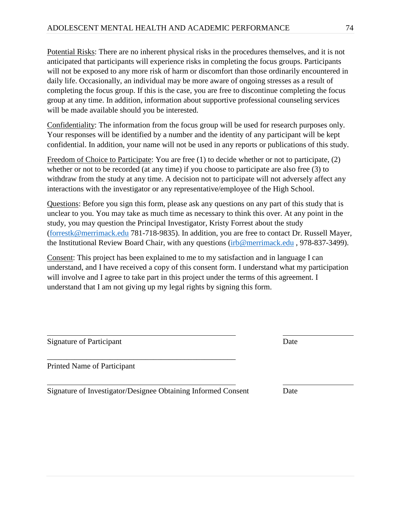Potential Risks: There are no inherent physical risks in the procedures themselves, and it is not anticipated that participants will experience risks in completing the focus groups. Participants will not be exposed to any more risk of harm or discomfort than those ordinarily encountered in daily life. Occasionally, an individual may be more aware of ongoing stresses as a result of completing the focus group. If this is the case, you are free to discontinue completing the focus group at any time. In addition, information about supportive professional counseling services will be made available should you be interested.

Confidentiality: The information from the focus group will be used for research purposes only. Your responses will be identified by a number and the identity of any participant will be kept confidential. In addition, your name will not be used in any reports or publications of this study.

Freedom of Choice to Participate: You are free (1) to decide whether or not to participate, (2) whether or not to be recorded (at any time) if you choose to participate are also free (3) to withdraw from the study at any time. A decision not to participate will not adversely affect any interactions with the investigator or any representative/employee of the High School.

Questions: Before you sign this form, please ask any questions on any part of this study that is unclear to you. You may take as much time as necessary to think this over. At any point in the study, you may question the Principal Investigator, Kristy Forrest about the study [\(forrestk@merrimack.edu](mailto:forrestk@merrimack.edu) 781-718-9835). In addition, you are free to contact Dr. Russell Mayer, the Institutional Review Board Chair, with any questions [\(irb@merrimack.edu](mailto:irb@merrimack.edu) , 978-837-3499).

Consent: This project has been explained to me to my satisfaction and in language I can understand, and I have received a copy of this consent form. I understand what my participation will involve and I agree to take part in this project under the terms of this agreement. I understand that I am not giving up my legal rights by signing this form.

| <b>Signature of Participant</b> | Date |
|---------------------------------|------|
| Printed Name of Participant     |      |

Signature of Investigator/Designee Obtaining Informed Consent Date